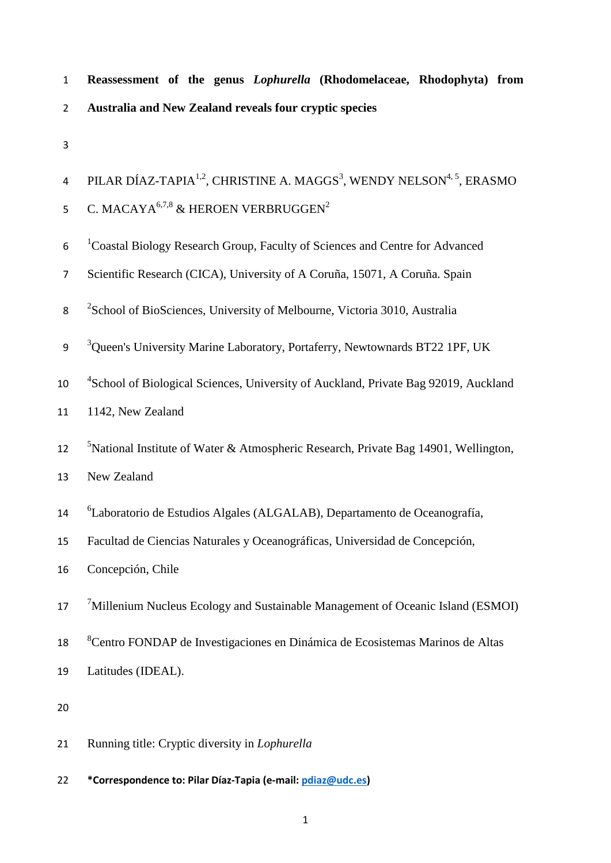| $\mathbf{1}$   | Reassessment of the genus <i>Lophurella</i> (Rhodomelaceae, Rhodophyta) from                              |
|----------------|-----------------------------------------------------------------------------------------------------------|
| $\overline{2}$ | Australia and New Zealand reveals four cryptic species                                                    |
| 3              |                                                                                                           |
| 4              | PILAR DÍAZ-TAPIA <sup>1,2</sup> , CHRISTINE A. MAGGS <sup>3</sup> , WENDY NELSON <sup>4, 5</sup> , ERASMO |
| 5              | C. MACAYA <sup>6,7,8</sup> & HEROEN VERBRUGGEN <sup>2</sup>                                               |
| 6              | <sup>1</sup> Coastal Biology Research Group, Faculty of Sciences and Centre for Advanced                  |
| 7              | Scientific Research (CICA), University of A Coruña, 15071, A Coruña. Spain                                |
| 8              | <sup>2</sup> School of BioSciences, University of Melbourne, Victoria 3010, Australia                     |
| 9              | <sup>3</sup> Queen's University Marine Laboratory, Portaferry, Newtownards BT22 1PF, UK                   |
| 10             | <sup>4</sup> School of Biological Sciences, University of Auckland, Private Bag 92019, Auckland           |
| 11             | 1142, New Zealand                                                                                         |
| 12             | <sup>5</sup> National Institute of Water & Atmospheric Research, Private Bag 14901, Wellington,           |
| 13             | New Zealand                                                                                               |
| 14             | <sup>6</sup> Laboratorio de Estudios Algales (ALGALAB), Departamento de Oceanografía,                     |
| 15             | Facultad de Ciencias Naturales y Oceanográficas, Universidad de Concepción,                               |
| 16             | Concepción, Chile                                                                                         |
| 17             | <sup>7</sup> Millenium Nucleus Ecology and Sustainable Management of Oceanic Island (ESMOI)               |
| 18             | <sup>8</sup> Centro FONDAP de Investigaciones en Dinámica de Ecosistemas Marinos de Altas                 |
| 19             | Latitudes (IDEAL).                                                                                        |
| 20             |                                                                                                           |
| 21             | Running title: Cryptic diversity in <i>Lophurella</i>                                                     |

22 **\*Correspondence to: Pilar Díaz-Tapia (e-mail: [pdiaz@udc.es\)](mailto:pdiaz@udc.es)**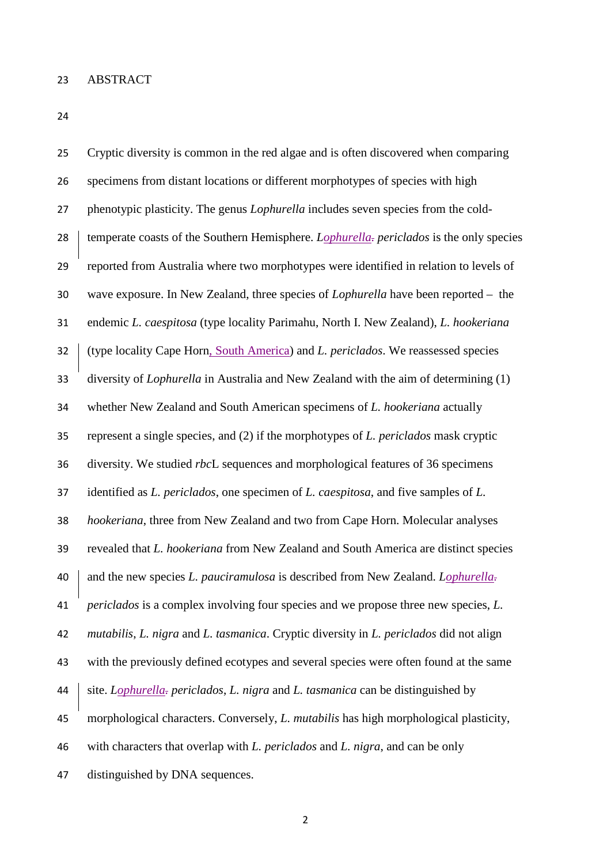| 25 | Cryptic diversity is common in the red algae and is often discovered when comparing           |
|----|-----------------------------------------------------------------------------------------------|
| 26 | specimens from distant locations or different morphotypes of species with high                |
| 27 | phenotypic plasticity. The genus <i>Lophurella</i> includes seven species from the cold-      |
| 28 | temperate coasts of the Southern Hemisphere. Lophurella- periclados is the only species       |
| 29 | reported from Australia where two morphotypes were identified in relation to levels of        |
| 30 | wave exposure. In New Zealand, three species of <i>Lophurella</i> have been reported $-$ the  |
| 31 | endemic L. caespitosa (type locality Parimahu, North I. New Zealand), L. hookeriana           |
| 32 | (type locality Cape Horn, South America) and L. periclados. We reassessed species             |
| 33 | diversity of <i>Lophurella</i> in Australia and New Zealand with the aim of determining (1)   |
| 34 | whether New Zealand and South American specimens of L. hookeriana actually                    |
| 35 | represent a single species, and $(2)$ if the morphotypes of <i>L. periclados</i> mask cryptic |
| 36 | diversity. We studied rbcL sequences and morphological features of 36 specimens               |
| 37 | identified as L. periclados, one specimen of L. caespitosa, and five samples of L.            |
| 38 | hookeriana, three from New Zealand and two from Cape Horn. Molecular analyses                 |
| 39 | revealed that L. hookeriana from New Zealand and South America are distinct species           |
| 40 | and the new species L. pauciramulosa is described from New Zealand. Lophurella-               |
| 41 | <i>periclados</i> is a complex involving four species and we propose three new species, L.    |
| 42 | mutabilis, L. nigra and L. tasmanica. Cryptic diversity in L. periclados did not align        |
| 43 | with the previously defined ecotypes and several species were often found at the same         |
| 44 | site. Lophurella- periclados, L. nigra and L. tasmanica can be distinguished by               |
| 45 | morphological characters. Conversely, <i>L. mutabilis</i> has high morphological plasticity,  |
| 46 | with characters that overlap with L. periclados and L. nigra, and can be only                 |
| 47 | distinguished by DNA sequences.                                                               |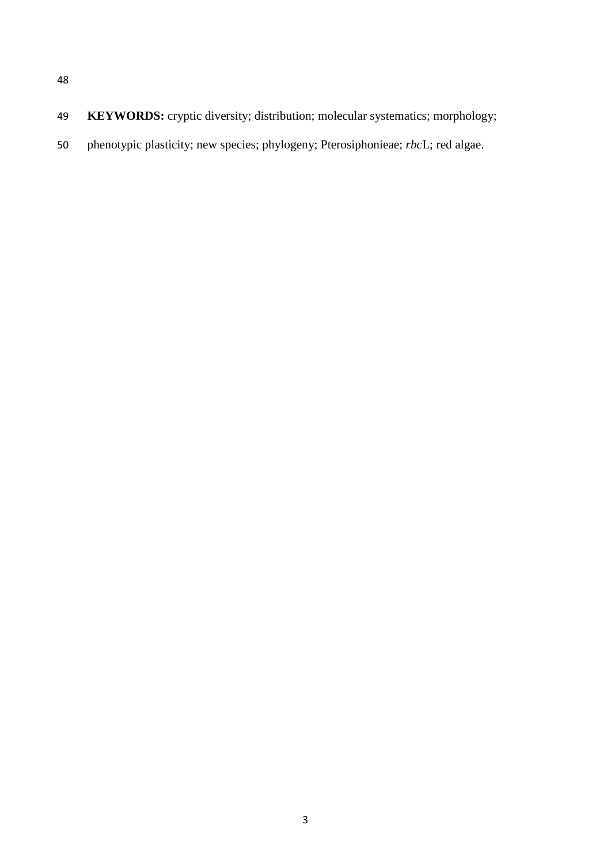- 
- **KEYWORDS:** cryptic diversity; distribution; molecular systematics; morphology;
- phenotypic plasticity; new species; phylogeny; Pterosiphonieae; *rbc*L; red algae.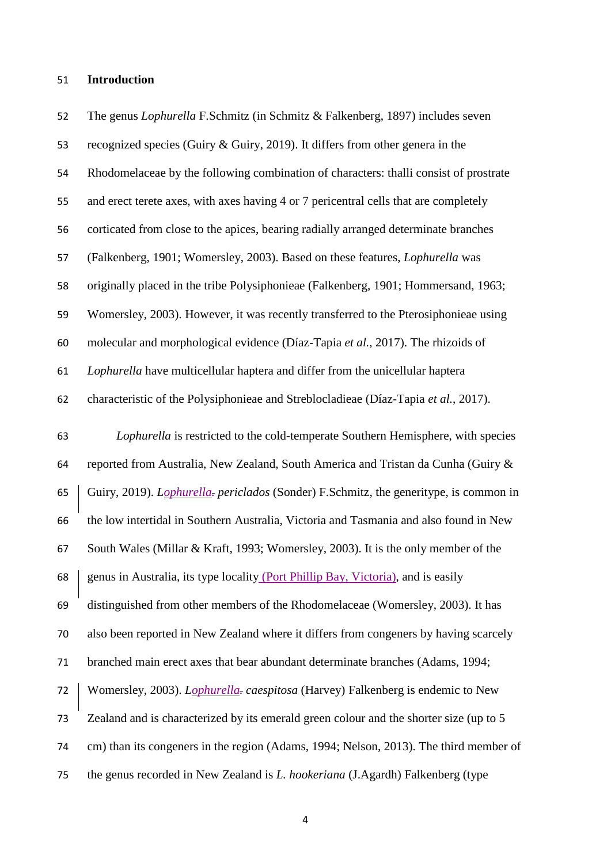#### **Introduction**

 The genus *Lophurella* F.Schmitz (in Schmitz & Falkenberg, 1897) includes seven recognized species (Guiry & Guiry, 2019). It differs from other genera in the Rhodomelaceae by the following combination of characters: thalli consist of prostrate and erect terete axes, with axes having 4 or 7 pericentral cells that are completely corticated from close to the apices, bearing radially arranged determinate branches (Falkenberg, 1901; Womersley, 2003). Based on these features, *Lophurella* was originally placed in the tribe Polysiphonieae (Falkenberg, 1901; Hommersand, 1963; Womersley, 2003). However, it was recently transferred to the Pterosiphonieae using molecular and morphological evidence (Díaz-Tapia *et al.*, 2017). The rhizoids of *Lophurella* have multicellular haptera and differ from the unicellular haptera characteristic of the Polysiphonieae and Streblocladieae (Díaz-Tapia *et al.*, 2017). *Lophurella* is restricted to the cold-temperate Southern Hemisphere, with species reported from Australia, New Zealand, South America and Tristan da Cunha (Guiry & Guiry, 2019). *Lophurella. periclados* (Sonder) F.Schmitz, the generitype, is common in the low intertidal in Southern Australia, Victoria and Tasmania and also found in New South Wales (Millar & Kraft, 1993; Womersley, 2003). It is the only member of the genus in Australia, its type locality (Port Phillip Bay, Victoria), and is easily distinguished from other members of the Rhodomelaceae (Womersley, 2003). It has also been reported in New Zealand where it differs from congeners by having scarcely branched main erect axes that bear abundant determinate branches (Adams, 1994; Womersley, 2003). *Lophurella. caespitosa* (Harvey) Falkenberg is endemic to New Zealand and is characterized by its emerald green colour and the shorter size (up to 5 cm) than its congeners in the region (Adams, 1994; Nelson, 2013). The third member of the genus recorded in New Zealand is *L. hookeriana* (J.Agardh) Falkenberg (type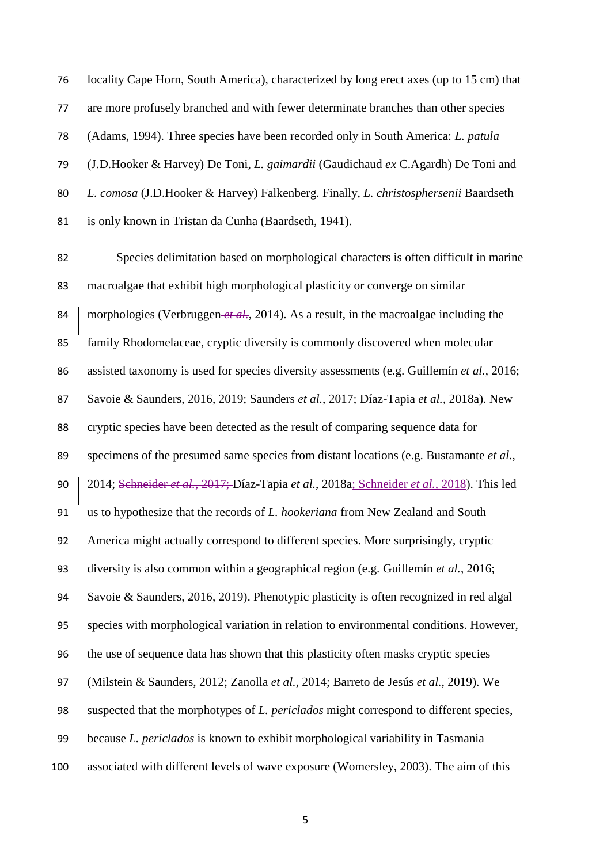locality Cape Horn, South America), characterized by long erect axes (up to 15 cm) that are more profusely branched and with fewer determinate branches than other species (Adams, 1994). Three species have been recorded only in South America: *L. patula* (J.D.Hooker & Harvey) De Toni, *L. gaimardii* (Gaudichaud *ex* C.Agardh) De Toni and *L. comosa* (J.D.Hooker & Harvey) Falkenberg. Finally, *L. christosphersenii* Baardseth is only known in Tristan da Cunha (Baardseth, 1941).

 Species delimitation based on morphological characters is often difficult in marine macroalgae that exhibit high morphological plasticity or converge on similar 84 morphologies (Verbruggen *et al.*, 2014). As a result, in the macroalgae including the family Rhodomelaceae, cryptic diversity is commonly discovered when molecular assisted taxonomy is used for species diversity assessments (e.g. Guillemín *et al.*, 2016; Savoie & Saunders, 2016, 2019; Saunders *et al.*, 2017; Díaz-Tapia *et al.*, 2018a). New cryptic species have been detected as the result of comparing sequence data for specimens of the presumed same species from distant locations (e.g. Bustamante *et al.*, 2014; Schneider *et al.*, 2017; Díaz-Tapia *et al.*, 2018a; Schneider *et al.*, 2018). This led us to hypothesize that the records of *L. hookeriana* from New Zealand and South America might actually correspond to different species. More surprisingly, cryptic diversity is also common within a geographical region (e.g. Guillemín *et al.*, 2016; Savoie & Saunders, 2016, 2019). Phenotypic plasticity is often recognized in red algal species with morphological variation in relation to environmental conditions. However, the use of sequence data has shown that this plasticity often masks cryptic species (Milstein & Saunders, 2012; Zanolla *et al.*, 2014; Barreto de Jesús *et al.*, 2019). We suspected that the morphotypes of *L. periclados* might correspond to different species, because *L. periclados* is known to exhibit morphological variability in Tasmania associated with different levels of wave exposure (Womersley, 2003). The aim of this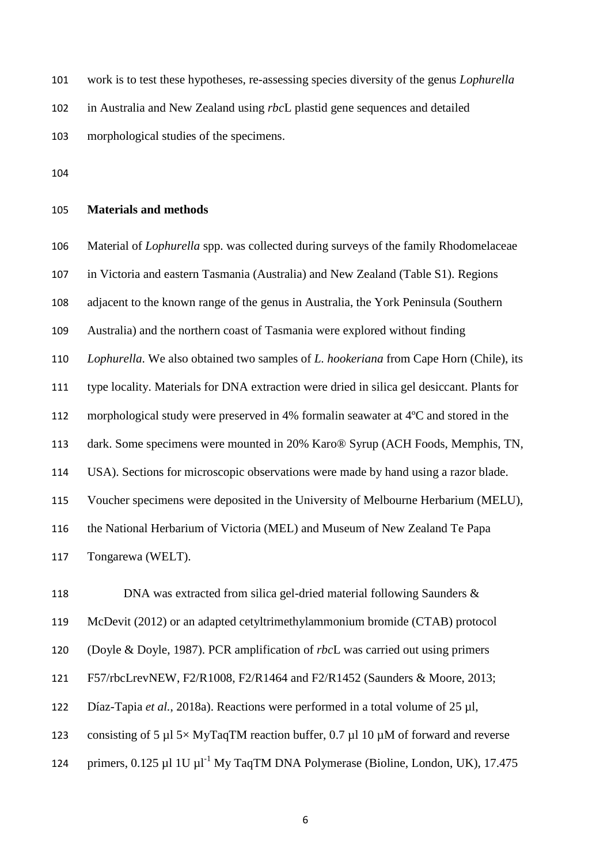work is to test these hypotheses, re-assessing species diversity of the genus *Lophurella*

in Australia and New Zealand using *rbc*L plastid gene sequences and detailed

morphological studies of the specimens.

# **Materials and methods**

Material of *Lophurella* spp. was collected during surveys of the family Rhodomelaceae

in Victoria and eastern Tasmania (Australia) and New Zealand (Table S1). Regions

adjacent to the known range of the genus in Australia, the York Peninsula (Southern

Australia) and the northern coast of Tasmania were explored without finding

*Lophurella*. We also obtained two samples of *L. hookeriana* from Cape Horn (Chile), its

type locality. Materials for DNA extraction were dried in silica gel desiccant. Plants for

morphological study were preserved in 4% formalin seawater at 4ºC and stored in the

dark. Some specimens were mounted in 20% Karo® Syrup (ACH Foods, Memphis, TN,

USA). Sections for microscopic observations were made by hand using a razor blade.

Voucher specimens were deposited in the University of Melbourne Herbarium (MELU),

the National Herbarium of Victoria (MEL) and Museum of New Zealand Te Papa

Tongarewa (WELT).

118 DNA was extracted from silica gel-dried material following Saunders &

McDevit (2012) or an adapted cetyltrimethylammonium bromide (CTAB) protocol

(Doyle & Doyle, 1987). PCR amplification of *rbc*L was carried out using primers

F57/rbcLrevNEW, F2/R1008, F2/R1464 and F2/R1452 (Saunders & Moore, 2013;

Díaz-Tapia *et al.*, 2018a). Reactions were performed in a total volume of 25 µl,

123 consisting of 5  $\mu$ 15× MyTaqTM reaction buffer, 0.7  $\mu$ 110  $\mu$ M of forward and reverse

124 primers,  $0.125 \mu$ l 1U  $\mu$ l<sup>-1</sup> My TaqTM DNA Polymerase (Bioline, London, UK), 17.475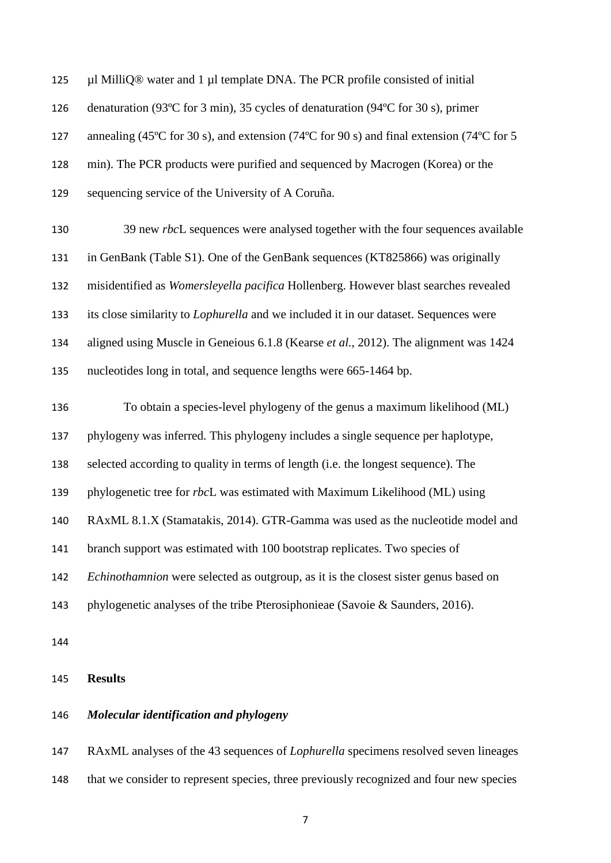µl MilliQ® water and 1 µl template DNA. The PCR profile consisted of initial denaturation (93ºC for 3 min), 35 cycles of denaturation (94ºC for 30 s), primer 127 annealing (45°C for 30 s), and extension (74°C for 90 s) and final extension (74°C for 5 min). The PCR products were purified and sequenced by Macrogen (Korea) or the sequencing service of the University of A Coruña.

 39 new *rbc*L sequences were analysed together with the four sequences available in GenBank (Table S1). One of the GenBank sequences (KT825866) was originally misidentified as *Womersleyella pacifica* Hollenberg. However blast searches revealed its close similarity to *Lophurella* and we included it in our dataset. Sequences were aligned using Muscle in Geneious 6.1.8 (Kearse *et al.*, 2012). The alignment was 1424 nucleotides long in total, and sequence lengths were 665-1464 bp.

 To obtain a species-level phylogeny of the genus a maximum likelihood (ML) phylogeny was inferred. This phylogeny includes a single sequence per haplotype, selected according to quality in terms of length (i.e. the longest sequence). The phylogenetic tree for *rbc*L was estimated with Maximum Likelihood (ML) using RAxML 8.1.X (Stamatakis, 2014). GTR-Gamma was used as the nucleotide model and branch support was estimated with 100 bootstrap replicates. Two species of *Echinothamnion* were selected as outgroup, as it is the closest sister genus based on phylogenetic analyses of the tribe Pterosiphonieae (Savoie & Saunders, 2016).

#### **Results**

# *Molecular identification and phylogeny*

 RAxML analyses of the 43 sequences of *Lophurella* specimens resolved seven lineages that we consider to represent species, three previously recognized and four new species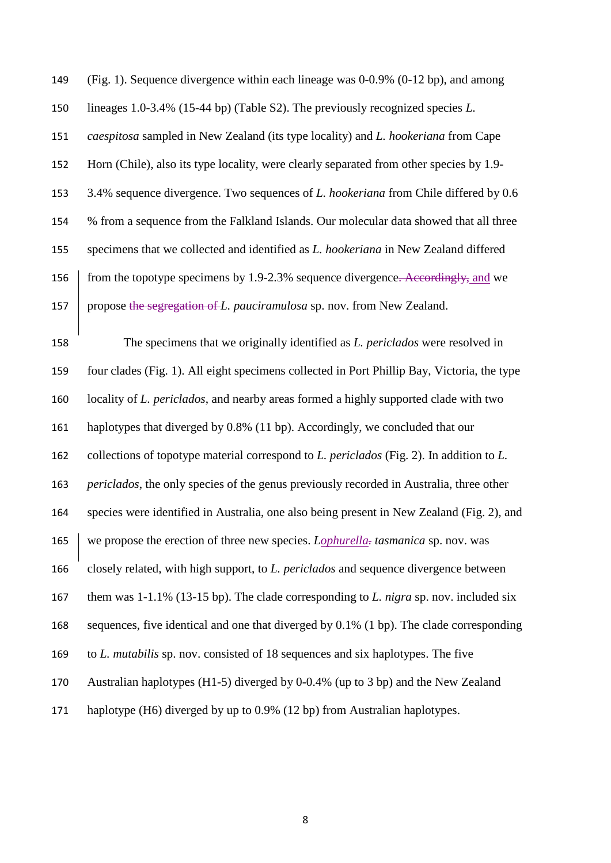(Fig. 1). Sequence divergence within each lineage was 0-0.9% (0-12 bp), and among lineages 1.0-3.4% (15-44 bp) (Table S2). The previously recognized species *L. caespitosa* sampled in New Zealand (its type locality) and *L. hookeriana* from Cape Horn (Chile), also its type locality, were clearly separated from other species by 1.9- 3.4% sequence divergence. Two sequences of *L. hookeriana* from Chile differed by 0.6 % from a sequence from the Falkland Islands. Our molecular data showed that all three specimens that we collected and identified as *L. hookeriana* in New Zealand differed 156 from the topotype specimens by 1.9-2.3% sequence divergence. Accordingly, and we propose the segregation of *L. pauciramulosa* sp. nov. from New Zealand.

 The specimens that we originally identified as *L. periclados* were resolved in four clades (Fig. 1). All eight specimens collected in Port Phillip Bay, Victoria, the type locality of *L. periclados*, and nearby areas formed a highly supported clade with two haplotypes that diverged by 0.8% (11 bp). Accordingly, we concluded that our collections of topotype material correspond to *L. periclados* (Fig. 2). In addition to *L. periclados*, the only species of the genus previously recorded in Australia, three other species were identified in Australia, one also being present in New Zealand (Fig. 2), and we propose the erection of three new species. *Lophurella. tasmanica* sp. nov. was closely related, with high support, to *L. periclados* and sequence divergence between them was 1-1.1% (13-15 bp). The clade corresponding to *L. nigra* sp. nov. included six sequences, five identical and one that diverged by 0.1% (1 bp). The clade corresponding to *L. mutabilis* sp. nov. consisted of 18 sequences and six haplotypes. The five Australian haplotypes (H1-5) diverged by 0-0.4% (up to 3 bp) and the New Zealand haplotype (H6) diverged by up to 0.9% (12 bp) from Australian haplotypes.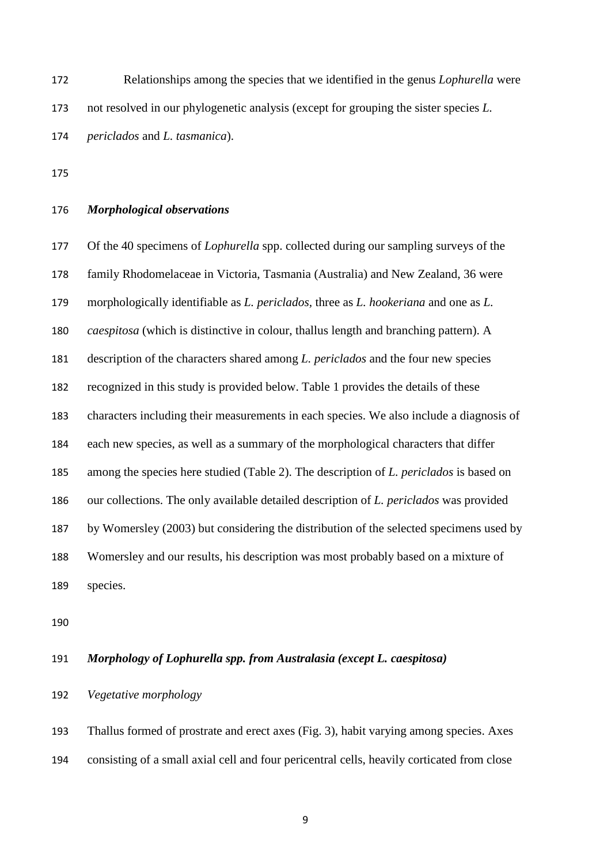Relationships among the species that we identified in the genus *Lophurella* were not resolved in our phylogenetic analysis (except for grouping the sister species *L. periclados* and *L. tasmanica*).

# *Morphological observations*

 Of the 40 specimens of *Lophurella* spp. collected during our sampling surveys of the family Rhodomelaceae in Victoria, Tasmania (Australia) and New Zealand, 36 were morphologically identifiable as *L. periclados,* three as *L. hookeriana* and one as *L. caespitosa* (which is distinctive in colour, thallus length and branching pattern). A description of the characters shared among *L. periclados* and the four new species recognized in this study is provided below. Table 1 provides the details of these characters including their measurements in each species. We also include a diagnosis of each new species, as well as a summary of the morphological characters that differ among the species here studied (Table 2). The description of *L. periclados* is based on our collections. The only available detailed description of *L. periclados* was provided by Womersley (2003) but considering the distribution of the selected specimens used by Womersley and our results, his description was most probably based on a mixture of species.

# *Morphology of Lophurella spp. from Australasia (except L. caespitosa)*

# *Vegetative morphology*

 Thallus formed of prostrate and erect axes (Fig. 3), habit varying among species. Axes consisting of a small axial cell and four pericentral cells, heavily corticated from close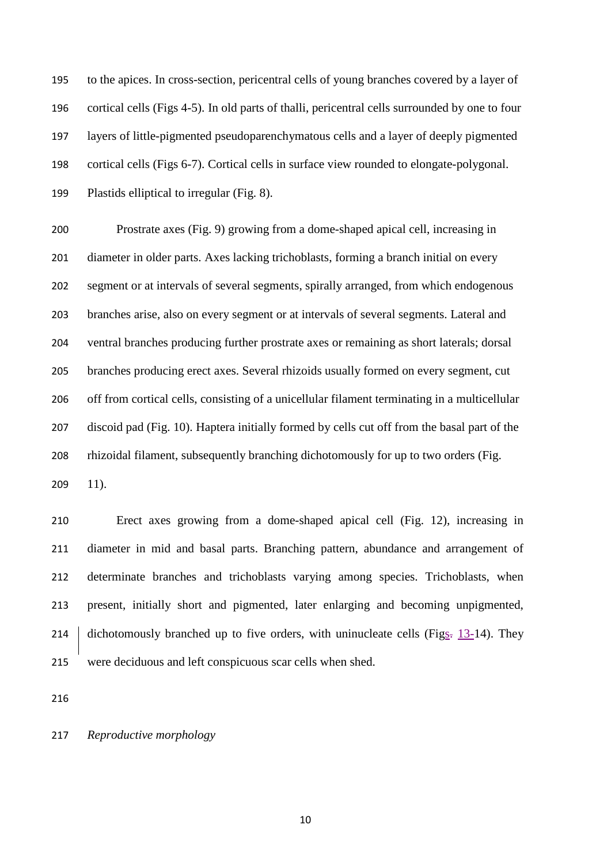to the apices. In cross-section, pericentral cells of young branches covered by a layer of cortical cells (Figs 4-5). In old parts of thalli, pericentral cells surrounded by one to four layers of little-pigmented pseudoparenchymatous cells and a layer of deeply pigmented cortical cells (Figs 6-7). Cortical cells in surface view rounded to elongate-polygonal. Plastids elliptical to irregular (Fig. 8).

 Prostrate axes (Fig. 9) growing from a dome-shaped apical cell, increasing in diameter in older parts. Axes lacking trichoblasts, forming a branch initial on every segment or at intervals of several segments, spirally arranged, from which endogenous branches arise, also on every segment or at intervals of several segments. Lateral and ventral branches producing further prostrate axes or remaining as short laterals; dorsal branches producing erect axes. Several rhizoids usually formed on every segment, cut off from cortical cells, consisting of a unicellular filament terminating in a multicellular discoid pad (Fig. 10). Haptera initially formed by cells cut off from the basal part of the rhizoidal filament, subsequently branching dichotomously for up to two orders (Fig. 11).

 Erect axes growing from a dome-shaped apical cell (Fig. 12), increasing in diameter in mid and basal parts. Branching pattern, abundance and arrangement of determinate branches and trichoblasts varying among species. Trichoblasts, when present, initially short and pigmented, later enlarging and becoming unpigmented, 214 dichotomously branched up to five orders, with uninucleate cells (Figs.  $13-14$ ). They were deciduous and left conspicuous scar cells when shed.

*Reproductive morphology*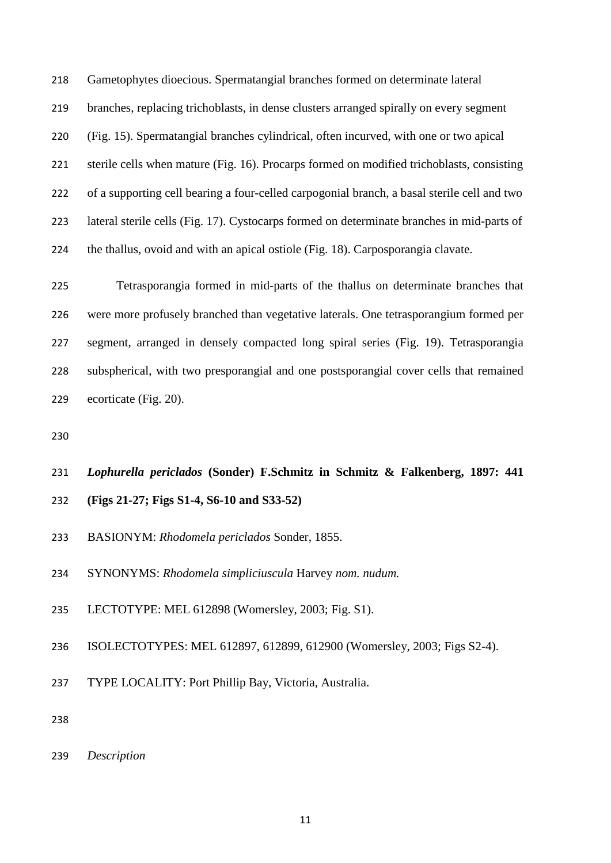Gametophytes dioecious. Spermatangial branches formed on determinate lateral branches, replacing trichoblasts, in dense clusters arranged spirally on every segment (Fig. 15). Spermatangial branches cylindrical, often incurved, with one or two apical sterile cells when mature (Fig. 16). Procarps formed on modified trichoblasts, consisting of a supporting cell bearing a four-celled carpogonial branch, a basal sterile cell and two lateral sterile cells (Fig. 17). Cystocarps formed on determinate branches in mid-parts of the thallus, ovoid and with an apical ostiole (Fig. 18). Carposporangia clavate.

 Tetrasporangia formed in mid-parts of the thallus on determinate branches that were more profusely branched than vegetative laterals. One tetrasporangium formed per segment, arranged in densely compacted long spiral series (Fig. 19). Tetrasporangia subspherical, with two presporangial and one postsporangial cover cells that remained ecorticate (Fig. 20).

# *Lophurella periclados* **(Sonder) F.Schmitz in Schmitz & Falkenberg, 1897: 441 (Figs 21-27; Figs S1-4, S6-10 and S33-52)**

- BASIONYM: *Rhodomela periclados* Sonder, 1855.
- SYNONYMS: *Rhodomela simpliciuscula* Harvey *nom. nudum.*
- LECTOTYPE: MEL 612898 (Womersley, 2003; Fig. S1).
- ISOLECTOTYPES: MEL 612897, 612899, 612900 (Womersley, 2003; Figs S2-4).
- TYPE LOCALITY: Port Phillip Bay, Victoria, Australia.

*Description*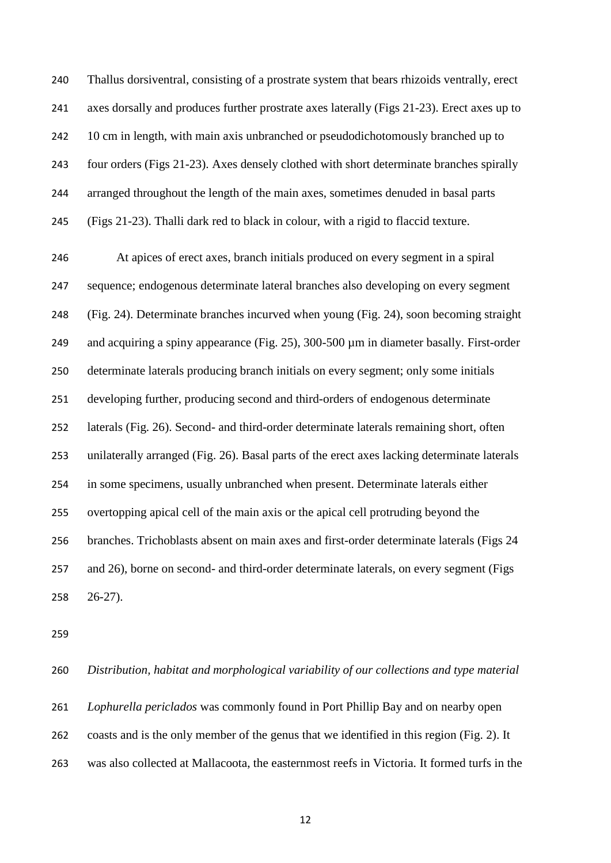Thallus dorsiventral, consisting of a prostrate system that bears rhizoids ventrally, erect axes dorsally and produces further prostrate axes laterally (Figs 21-23). Erect axes up to 10 cm in length, with main axis unbranched or pseudodichotomously branched up to four orders (Figs 21-23). Axes densely clothed with short determinate branches spirally arranged throughout the length of the main axes, sometimes denuded in basal parts (Figs 21-23). Thalli dark red to black in colour, with a rigid to flaccid texture.

 At apices of erect axes, branch initials produced on every segment in a spiral sequence; endogenous determinate lateral branches also developing on every segment (Fig. 24). Determinate branches incurved when young (Fig. 24), soon becoming straight 249 and acquiring a spiny appearance (Fig. 25), 300-500  $\mu$ m in diameter basally. First-order determinate laterals producing branch initials on every segment; only some initials developing further, producing second and third-orders of endogenous determinate laterals (Fig. 26). Second- and third-order determinate laterals remaining short, often unilaterally arranged (Fig. 26). Basal parts of the erect axes lacking determinate laterals in some specimens, usually unbranched when present. Determinate laterals either overtopping apical cell of the main axis or the apical cell protruding beyond the branches. Trichoblasts absent on main axes and first-order determinate laterals (Figs 24 and 26), borne on second- and third-order determinate laterals, on every segment (Figs 26-27).

 *Distribution, habitat and morphological variability of our collections and type material Lophurella periclados* was commonly found in Port Phillip Bay and on nearby open coasts and is the only member of the genus that we identified in this region (Fig. 2). It was also collected at Mallacoota, the easternmost reefs in Victoria. It formed turfs in the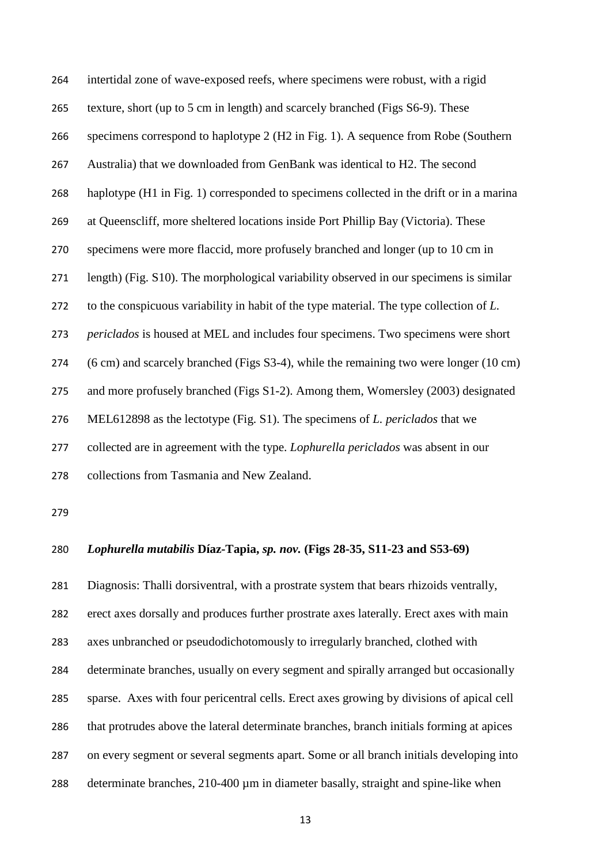intertidal zone of wave-exposed reefs, where specimens were robust, with a rigid texture, short (up to 5 cm in length) and scarcely branched (Figs S6-9). These specimens correspond to haplotype 2 (H2 in Fig. 1). A sequence from Robe (Southern Australia) that we downloaded from GenBank was identical to H2. The second haplotype (H1 in Fig. 1) corresponded to specimens collected in the drift or in a marina at Queenscliff, more sheltered locations inside Port Phillip Bay (Victoria). These specimens were more flaccid, more profusely branched and longer (up to 10 cm in length) (Fig. S10). The morphological variability observed in our specimens is similar to the conspicuous variability in habit of the type material. The type collection of *L. periclados* is housed at MEL and includes four specimens. Two specimens were short (6 cm) and scarcely branched (Figs S3-4), while the remaining two were longer (10 cm) and more profusely branched (Figs S1-2). Among them, Womersley (2003) designated MEL612898 as the lectotype (Fig. S1). The specimens of *L. periclados* that we collected are in agreement with the type. *Lophurella periclados* was absent in our collections from Tasmania and New Zealand.

# *Lophurella mutabilis* **Díaz-Tapia,** *sp. nov.* **(Figs 28-35, S11-23 and S53-69)**

 Diagnosis: Thalli dorsiventral, with a prostrate system that bears rhizoids ventrally, erect axes dorsally and produces further prostrate axes laterally. Erect axes with main axes unbranched or pseudodichotomously to irregularly branched, clothed with determinate branches, usually on every segment and spirally arranged but occasionally sparse. Axes with four pericentral cells. Erect axes growing by divisions of apical cell 286 that protrudes above the lateral determinate branches, branch initials forming at apices on every segment or several segments apart. Some or all branch initials developing into 288 determinate branches, 210-400 µm in diameter basally, straight and spine-like when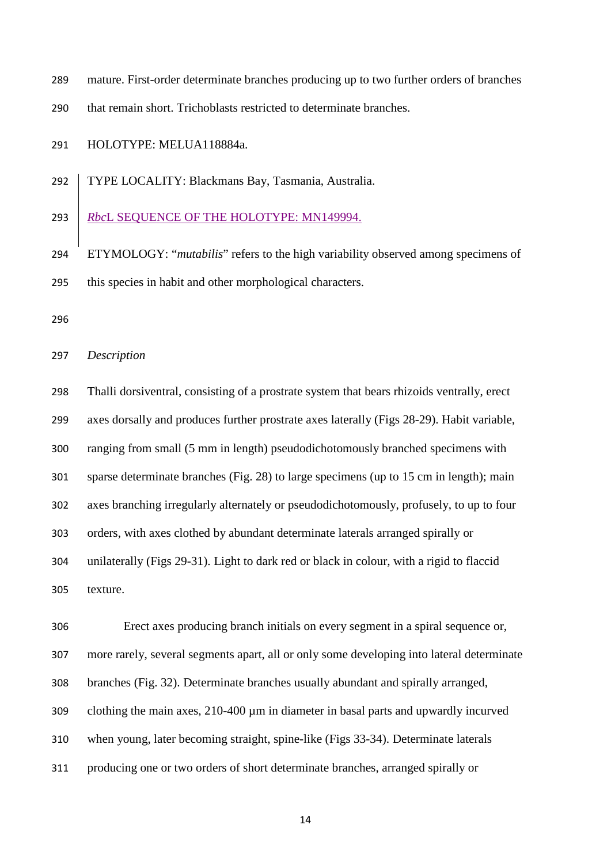mature. First-order determinate branches producing up to two further orders of branches

that remain short. Trichoblasts restricted to determinate branches.

HOLOTYPE: MELUA118884a.

TYPE LOCALITY: Blackmans Bay, Tasmania, Australia.

*Rbc*L SEQUENCE OF THE HOLOTYPE: MN149994.

 ETYMOLOGY: "*mutabilis*" refers to the high variability observed among specimens of this species in habit and other morphological characters.

*Description*

 Thalli dorsiventral, consisting of a prostrate system that bears rhizoids ventrally, erect axes dorsally and produces further prostrate axes laterally (Figs 28-29). Habit variable, ranging from small (5 mm in length) pseudodichotomously branched specimens with sparse determinate branches (Fig. 28) to large specimens (up to 15 cm in length); main axes branching irregularly alternately or pseudodichotomously, profusely, to up to four orders, with axes clothed by abundant determinate laterals arranged spirally or unilaterally (Figs 29-31). Light to dark red or black in colour, with a rigid to flaccid texture.

 Erect axes producing branch initials on every segment in a spiral sequence or, more rarely, several segments apart, all or only some developing into lateral determinate branches (Fig. 32). Determinate branches usually abundant and spirally arranged, clothing the main axes, 210-400 µm in diameter in basal parts and upwardly incurved when young, later becoming straight, spine-like (Figs 33-34). Determinate laterals producing one or two orders of short determinate branches, arranged spirally or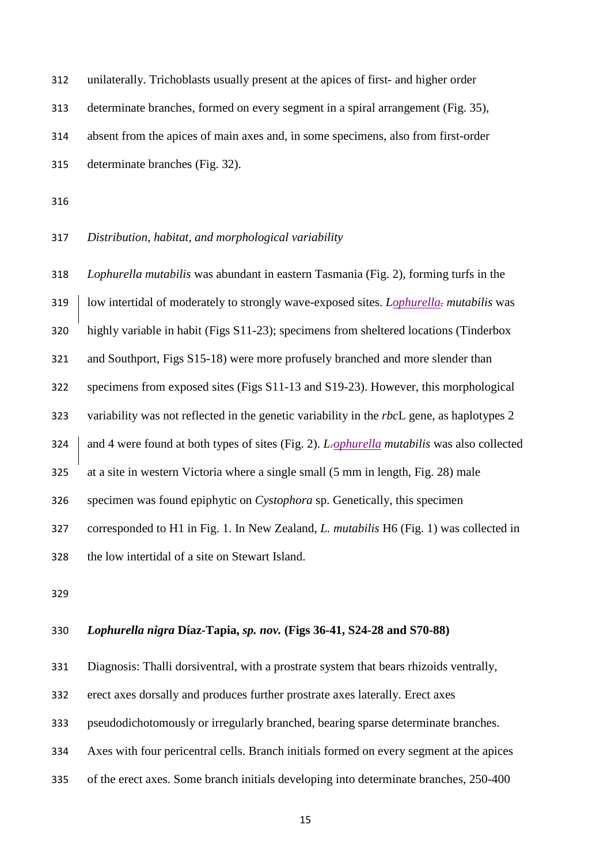| 312 | unilaterally. Trichoblasts usually present at the apices of first- and higher order |
|-----|-------------------------------------------------------------------------------------|
| 313 | determinate branches, formed on every segment in a spiral arrangement (Fig. 35),    |
| 314 | absent from the apices of main axes and, in some specimens, also from first-order   |
| 315 | determinate branches (Fig. 32).                                                     |

# *Distribution, habitat, and morphological variability*

 *Lophurella mutabilis* was abundant in eastern Tasmania (Fig. 2), forming turfs in the low intertidal of moderately to strongly wave-exposed sites. *Lophurella. mutabilis* was highly variable in habit (Figs S11-23); specimens from sheltered locations (Tinderbox and Southport, Figs S15-18) were more profusely branched and more slender than specimens from exposed sites (Figs S11-13 and S19-23). However, this morphological variability was not reflected in the genetic variability in the *rbc*L gene, as haplotypes 2 324 and 4 were found at both types of sites (Fig. 2). *L<sub>rophurella mutabilis* was also collected</sub> at a site in western Victoria where a single small (5 mm in length, Fig. 28) male specimen was found epiphytic on *Cystophora* sp. Genetically, this specimen corresponded to H1 in Fig. 1. In New Zealand, *L. mutabilis* H6 (Fig. 1) was collected in the low intertidal of a site on Stewart Island.

#### *Lophurella nigra* **Díaz-Tapia,** *sp. nov.* **(Figs 36-41, S24-28 and S70-88)**

Diagnosis: Thalli dorsiventral, with a prostrate system that bears rhizoids ventrally,

erect axes dorsally and produces further prostrate axes laterally. Erect axes

pseudodichotomously or irregularly branched, bearing sparse determinate branches.

Axes with four pericentral cells. Branch initials formed on every segment at the apices

of the erect axes. Some branch initials developing into determinate branches, 250-400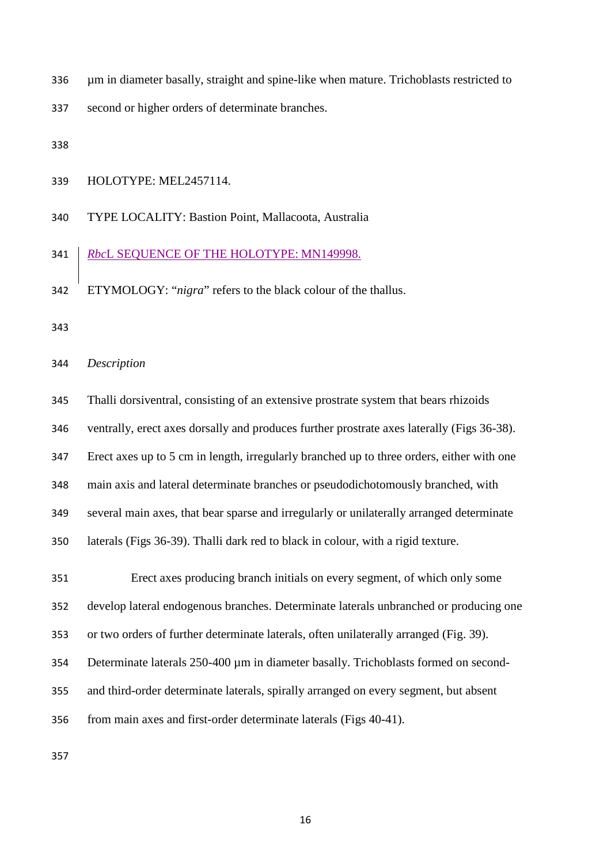µm in diameter basally, straight and spine-like when mature. Trichoblasts restricted to

second or higher orders of determinate branches.

HOLOTYPE: MEL2457114.

TYPE LOCALITY: Bastion Point, Mallacoota, Australia

#### *Rbc*L SEQUENCE OF THE HOLOTYPE: MN149998.

ETYMOLOGY: "*nigra*" refers to the black colour of the thallus.

#### *Description*

 Thalli dorsiventral, consisting of an extensive prostrate system that bears rhizoids ventrally, erect axes dorsally and produces further prostrate axes laterally (Figs 36-38). Erect axes up to 5 cm in length, irregularly branched up to three orders, either with one main axis and lateral determinate branches or pseudodichotomously branched, with several main axes, that bear sparse and irregularly or unilaterally arranged determinate laterals (Figs 36-39). Thalli dark red to black in colour, with a rigid texture. Erect axes producing branch initials on every segment, of which only some develop lateral endogenous branches. Determinate laterals unbranched or producing one or two orders of further determinate laterals, often unilaterally arranged (Fig. 39). 354 Determinate laterals 250-400 µm in diameter basally. Trichoblasts formed on second- and third-order determinate laterals, spirally arranged on every segment, but absent from main axes and first-order determinate laterals (Figs 40-41).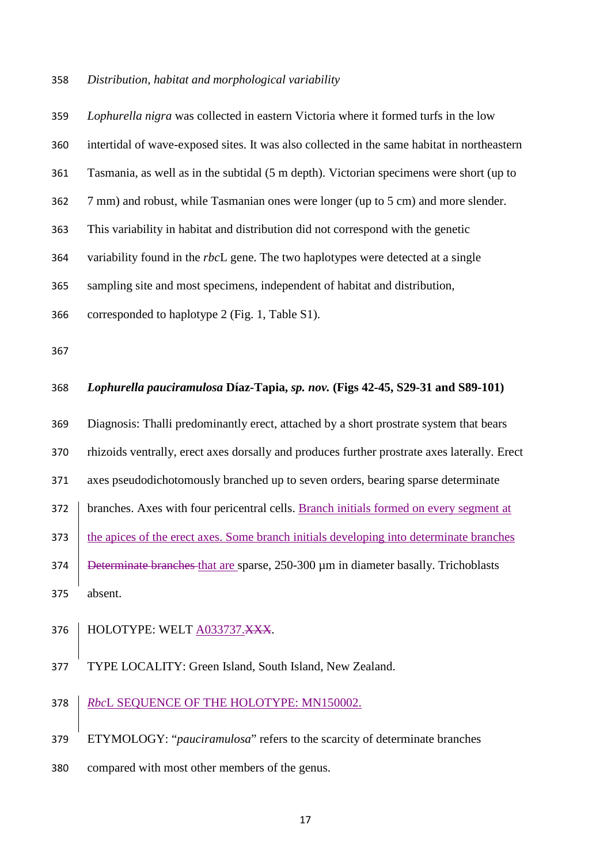#### *Distribution, habitat and morphological variability*

# *Lophurella nigra* was collected in eastern Victoria where it formed turfs in the low intertidal of wave-exposed sites. It was also collected in the same habitat in northeastern Tasmania, as well as in the subtidal (5 m depth). Victorian specimens were short (up to 7 mm) and robust, while Tasmanian ones were longer (up to 5 cm) and more slender. This variability in habitat and distribution did not correspond with the genetic variability found in the *rbc*L gene. The two haplotypes were detected at a single sampling site and most specimens, independent of habitat and distribution, corresponded to haplotype 2 (Fig. 1, Table S1). *Lophurella pauciramulosa* **Díaz-Tapia,** *sp. nov.* **(Figs 42-45, S29-31 and S89-101)** Diagnosis: Thalli predominantly erect, attached by a short prostrate system that bears rhizoids ventrally, erect axes dorsally and produces further prostrate axes laterally. Erect axes pseudodichotomously branched up to seven orders, bearing sparse determinate branches. Axes with four pericentral cells. Branch initials formed on every segment at 373 the apices of the erect axes. Some branch initials developing into determinate branches

374 Beterminate branches that are sparse, 250-300 µm in diameter basally. Trichoblasts absent.

#### 376 | HOLOTYPE: WELT A033737.XXX.

TYPE LOCALITY: Green Island, South Island, New Zealand.

# *Rbc*L SEQUENCE OF THE HOLOTYPE: MN150002.

ETYMOLOGY: "*pauciramulosa*" refers to the scarcity of determinate branches

compared with most other members of the genus.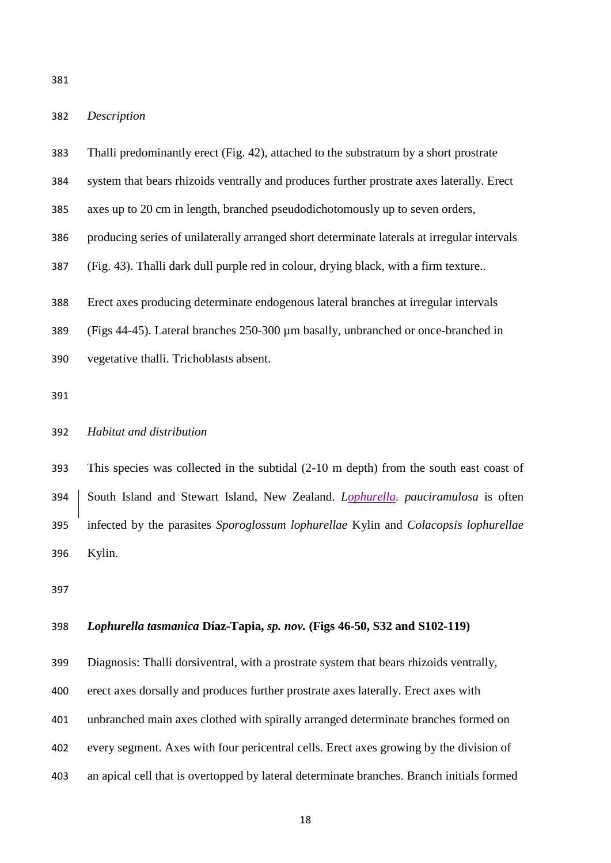#### *Description*

| 383 | Thalli predominantly erect (Fig. 42), attached to the substratum by a short prostrate       |
|-----|---------------------------------------------------------------------------------------------|
| 384 | system that bears rhizoids ventrally and produces further prostrate axes laterally. Erect   |
| 385 | axes up to 20 cm in length, branched pseudodichotomously up to seven orders,                |
| 386 | producing series of unilaterally arranged short determinate laterals at irregular intervals |
| 387 | (Fig. 43). Thalli dark dull purple red in colour, drying black, with a firm texture         |
| 388 | Erect axes producing determinate endogenous lateral branches at irregular intervals         |
| 389 | (Figs 44-45). Lateral branches 250-300 µm basally, unbranched or once-branched in           |
| 390 | vegetative thalli. Trichoblasts absent.                                                     |

# *Habitat and distribution*

 This species was collected in the subtidal (2-10 m depth) from the south east coast of South Island and Stewart Island, New Zealand. *Lophurella. pauciramulosa* is often infected by the parasites *Sporoglossum lophurellae* Kylin and *Colacopsis lophurellae* Kylin.

# *Lophurella tasmanica* **Díaz-Tapia,** *sp. nov.* **(Figs 46-50, S32 and S102-119)**

Diagnosis: Thalli dorsiventral, with a prostrate system that bears rhizoids ventrally,

erect axes dorsally and produces further prostrate axes laterally. Erect axes with

unbranched main axes clothed with spirally arranged determinate branches formed on

- every segment. Axes with four pericentral cells. Erect axes growing by the division of
- an apical cell that is overtopped by lateral determinate branches. Branch initials formed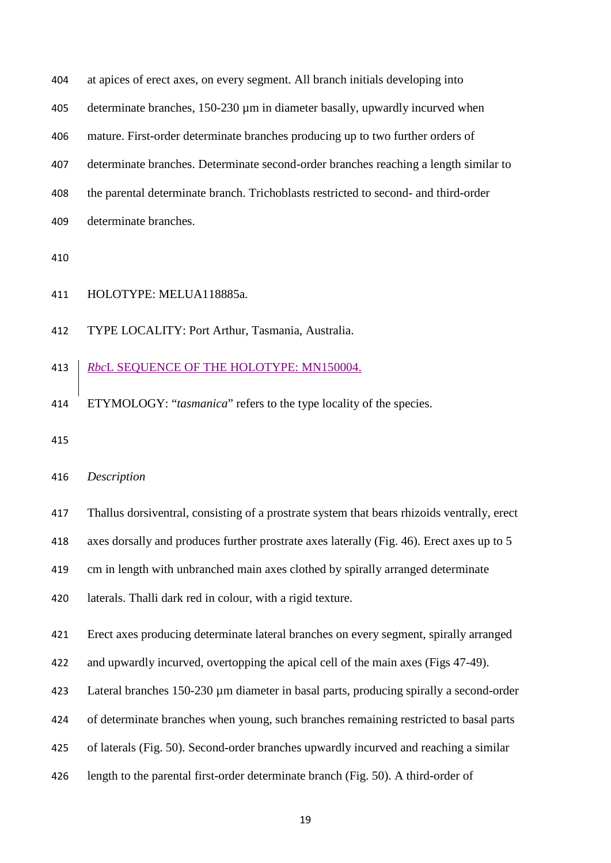| 404  | at apices of erect axes, on every segment. All branch initials developing into       |
|------|--------------------------------------------------------------------------------------|
| 405  | determinate branches, 150-230 µm in diameter basally, upwardly incurved when         |
| 406  | mature. First-order determinate branches producing up to two further orders of       |
| 407  | determinate branches. Determinate second-order branches reaching a length similar to |
| 408  | the parental determinate branch. Trichoblasts restricted to second- and third-order  |
| 409  | determinate branches.                                                                |
| 11 O |                                                                                      |

- 
- HOLOTYPE: MELUA118885a.
- TYPE LOCALITY: Port Arthur, Tasmania, Australia.

# *Rbc*L SEQUENCE OF THE HOLOTYPE: MN150004.

- ETYMOLOGY: "*tasmanica*" refers to the type locality of the species.
- 

#### *Description*

Thallus dorsiventral, consisting of a prostrate system that bears rhizoids ventrally, erect

axes dorsally and produces further prostrate axes laterally (Fig. 46). Erect axes up to 5

cm in length with unbranched main axes clothed by spirally arranged determinate

laterals. Thalli dark red in colour, with a rigid texture.

Erect axes producing determinate lateral branches on every segment, spirally arranged

and upwardly incurved, overtopping the apical cell of the main axes (Figs 47-49).

Lateral branches 150-230 µm diameter in basal parts, producing spirally a second-order

of determinate branches when young, such branches remaining restricted to basal parts

of laterals (Fig. 50). Second-order branches upwardly incurved and reaching a similar

length to the parental first-order determinate branch (Fig. 50). A third-order of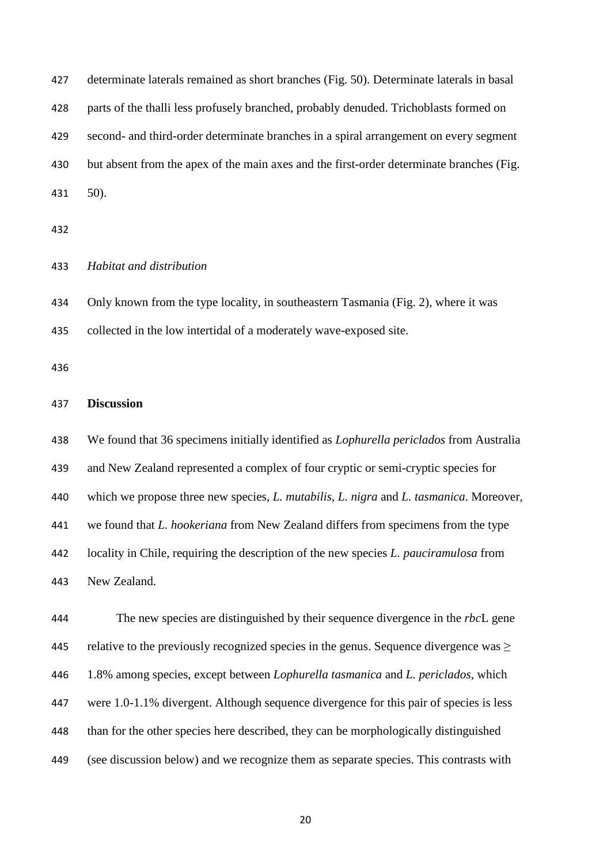determinate laterals remained as short branches (Fig. 50). Determinate laterals in basal parts of the thalli less profusely branched, probably denuded. Trichoblasts formed on second- and third-order determinate branches in a spiral arrangement on every segment but absent from the apex of the main axes and the first-order determinate branches (Fig. 50).

*Habitat and distribution*

 Only known from the type locality, in southeastern Tasmania (Fig. 2), where it was collected in the low intertidal of a moderately wave-exposed site.

#### **Discussion**

 We found that 36 specimens initially identified as *Lophurella periclados* from Australia and New Zealand represented a complex of four cryptic or semi-cryptic species for which we propose three new species, *L. mutabilis*, *L. nigra* and *L. tasmanica*. Moreover, we found that *L. hookeriana* from New Zealand differs from specimens from the type locality in Chile, requiring the description of the new species *L. pauciramulosa* from New Zealand.

 The new species are distinguished by their sequence divergence in the *rbc*L gene relative to the previously recognized species in the genus. Sequence divergence was ≥ 1.8% among species, except between *Lophurella tasmanica* and *L. periclados*, which were 1.0-1.1% divergent. Although sequence divergence for this pair of species is less than for the other species here described, they can be morphologically distinguished (see discussion below) and we recognize them as separate species. This contrasts with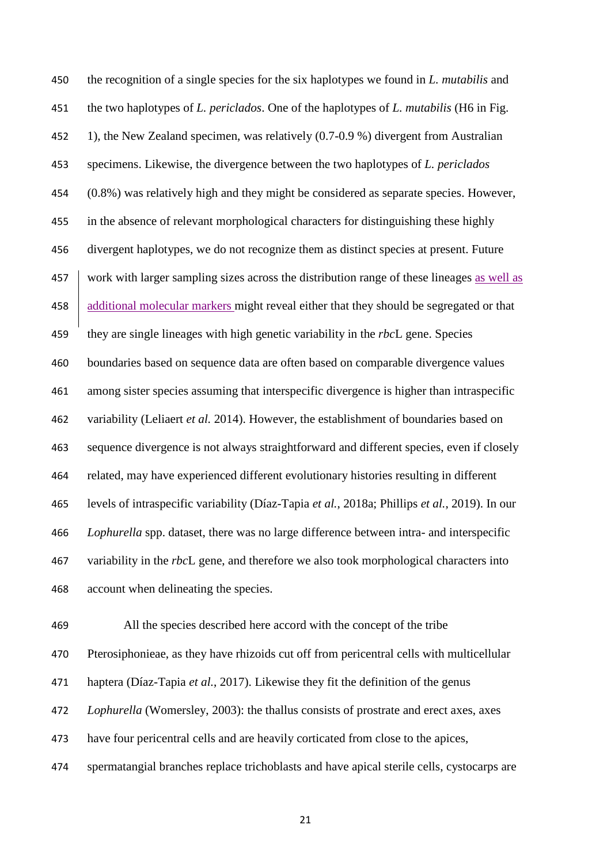the recognition of a single species for the six haplotypes we found in *L. mutabilis* and the two haplotypes of *L. periclados*. One of the haplotypes of *L. mutabilis* (H6 in Fig. 1), the New Zealand specimen, was relatively (0.7-0.9 %) divergent from Australian specimens. Likewise, the divergence between the two haplotypes of *L. periclados* (0.8%) was relatively high and they might be considered as separate species. However, in the absence of relevant morphological characters for distinguishing these highly divergent haplotypes, we do not recognize them as distinct species at present. Future 457 work with larger sampling sizes across the distribution range of these lineages as well as 458 additional molecular markers might reveal either that they should be segregated or that they are single lineages with high genetic variability in the *rbc*L gene. Species boundaries based on sequence data are often based on comparable divergence values among sister species assuming that interspecific divergence is higher than intraspecific variability (Leliaert *et al.* 2014). However, the establishment of boundaries based on sequence divergence is not always straightforward and different species, even if closely related, may have experienced different evolutionary histories resulting in different levels of intraspecific variability (Díaz-Tapia *et al.*, 2018a; Phillips *et al.*, 2019). In our *Lophurella* spp. dataset, there was no large difference between intra- and interspecific variability in the *rbc*L gene, and therefore we also took morphological characters into account when delineating the species.

 All the species described here accord with the concept of the tribe Pterosiphonieae, as they have rhizoids cut off from pericentral cells with multicellular haptera (Díaz-Tapia *et al.*, 2017). Likewise they fit the definition of the genus *Lophurella* (Womersley, 2003): the thallus consists of prostrate and erect axes, axes have four pericentral cells and are heavily corticated from close to the apices, spermatangial branches replace trichoblasts and have apical sterile cells, cystocarps are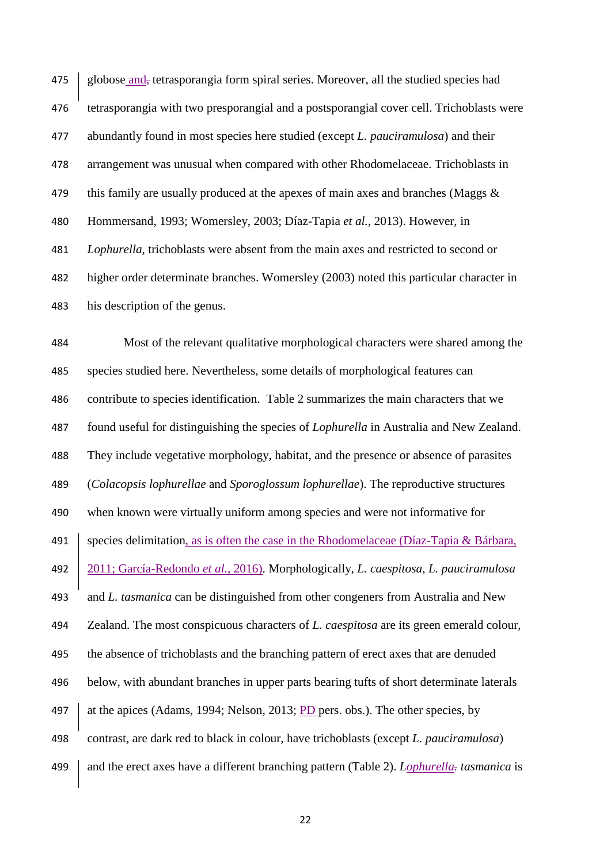475 globose and, tetrasporangia form spiral series. Moreover, all the studied species had tetrasporangia with two presporangial and a postsporangial cover cell. Trichoblasts were abundantly found in most species here studied (except *L. pauciramulosa*) and their arrangement was unusual when compared with other Rhodomelaceae. Trichoblasts in 479 this family are usually produced at the apexes of main axes and branches (Maggs  $\&$  Hommersand, 1993; Womersley, 2003; Díaz-Tapia *et al.*, 2013). However, in *Lophurella*, trichoblasts were absent from the main axes and restricted to second or higher order determinate branches. Womersley (2003) noted this particular character in his description of the genus.

 Most of the relevant qualitative morphological characters were shared among the species studied here. Nevertheless, some details of morphological features can contribute to species identification. Table 2 summarizes the main characters that we found useful for distinguishing the species of *Lophurella* in Australia and New Zealand. They include vegetative morphology, habitat, and the presence or absence of parasites (*Colacopsis lophurellae* and *Sporoglossum lophurellae*). The reproductive structures when known were virtually uniform among species and were not informative for species delimitation, as is often the case in the Rhodomelaceae (Díaz-Tapia & Bárbara, 2011; García-Redondo *et al.*, 2016). Morphologically, *L. caespitosa*, *L. pauciramulosa*  and *L. tasmanica* can be distinguished from other congeners from Australia and New Zealand. The most conspicuous characters of *L. caespitosa* are its green emerald colour, the absence of trichoblasts and the branching pattern of erect axes that are denuded below, with abundant branches in upper parts bearing tufts of short determinate laterals 497 at the apices (Adams, 1994; Nelson, 2013; PD pers. obs.). The other species, by contrast, are dark red to black in colour, have trichoblasts (except *L. pauciramulosa*) and the erect axes have a different branching pattern (Table 2). *Lophurella. tasmanica* is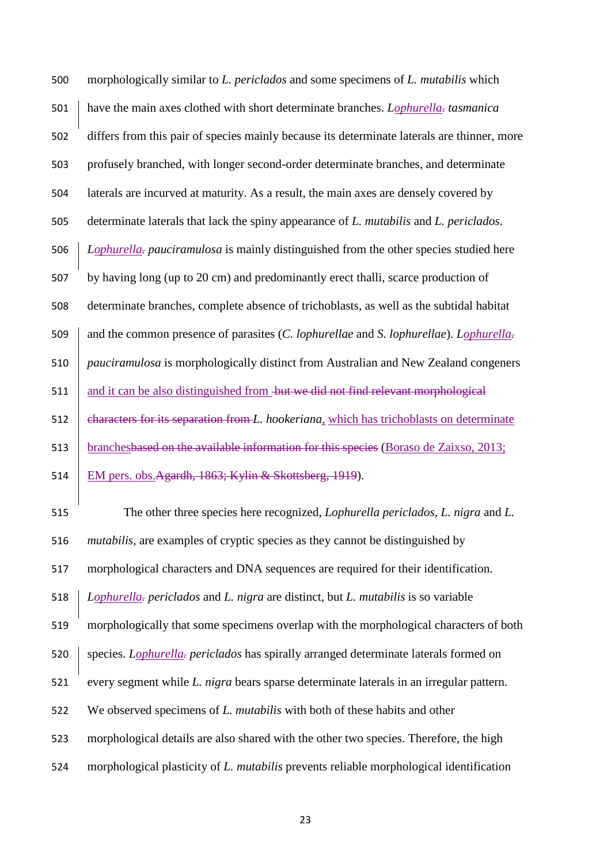| 500 | morphologically similar to L. periclados and some specimens of L. mutabilis which                     |
|-----|-------------------------------------------------------------------------------------------------------|
| 501 | have the main axes clothed with short determinate branches. Lophurella-tasmanica                      |
| 502 | differs from this pair of species mainly because its determinate laterals are thinner, more           |
| 503 | profusely branched, with longer second-order determinate branches, and determinate                    |
| 504 | laterals are incurved at maturity. As a result, the main axes are densely covered by                  |
| 505 | determinate laterals that lack the spiny appearance of L. mutabilis and L. periclados.                |
| 506 | Lophurella- pauciramulosa is mainly distinguished from the other species studied here                 |
| 507 | by having long (up to 20 cm) and predominantly erect thalli, scarce production of                     |
| 508 | determinate branches, complete absence of trichoblasts, as well as the subtidal habitat               |
| 509 | and the common presence of parasites (C. lophurellae and S. lophurellae). Lophurella-                 |
| 510 | pauciramulosa is morphologically distinct from Australian and New Zealand congeners                   |
| 511 | and it can be also distinguished from but we did not find relevant morphological                      |
| 512 | characters for its separation from L. hookeriana, which has trichoblasts on determinate               |
| 513 | branchesbased on the available information for this species (Boraso de Zaixso, 2013;                  |
| 514 | EM pers. obs. Agardh, 1863; Kylin & Skottsberg, 1919).                                                |
| 515 | The other three species here recognized, <i>Lophurella periclados</i> , <i>L. nigra</i> and <i>L.</i> |
| 516 | <i>mutabilis</i> , are examples of cryptic species as they cannot be distinguished by                 |
| 517 | morphological characters and DNA sequences are required for their identification.                     |
| 518 | Lophurella- periclados and L. nigra are distinct, but L. mutabilis is so variable                     |
| 519 | morphologically that some specimens overlap with the morphological characters of both                 |
| 520 | species. Lophurella- periclados has spirally arranged determinate laterals formed on                  |
| 521 | every segment while L. nigra bears sparse determinate laterals in an irregular pattern.               |
| 522 | We observed specimens of L. mutabilis with both of these habits and other                             |
| 523 | morphological details are also shared with the other two species. Therefore, the high                 |
| 524 | morphological plasticity of L. mutabilis prevents reliable morphological identification               |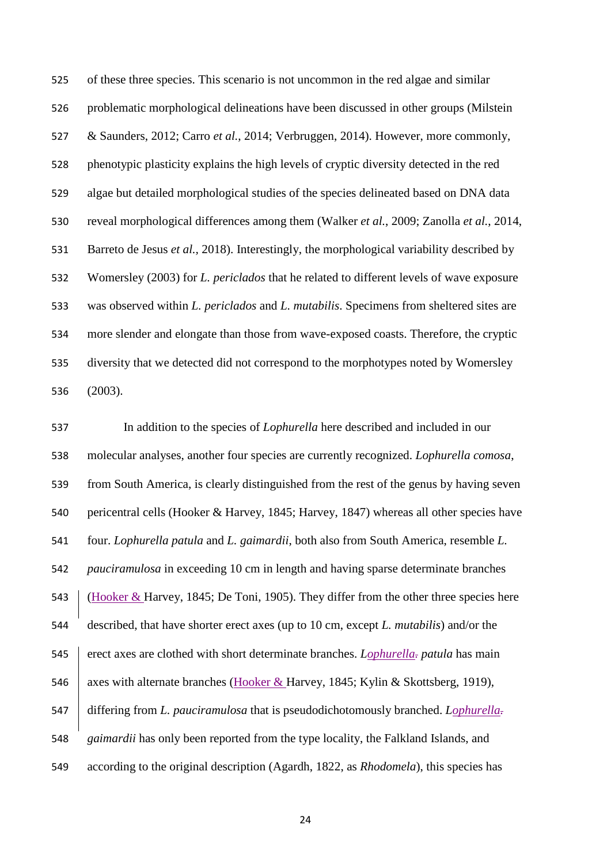of these three species. This scenario is not uncommon in the red algae and similar problematic morphological delineations have been discussed in other groups (Milstein & Saunders, 2012; Carro *et al.*, 2014; Verbruggen, 2014). However, more commonly, phenotypic plasticity explains the high levels of cryptic diversity detected in the red algae but detailed morphological studies of the species delineated based on DNA data reveal morphological differences among them (Walker *et al.*, 2009; Zanolla *et al.*, 2014, Barreto de Jesus *et al.,* 2018). Interestingly, the morphological variability described by Womersley (2003) for *L. periclados* that he related to different levels of wave exposure was observed within *L. periclados* and *L. mutabilis*. Specimens from sheltered sites are more slender and elongate than those from wave-exposed coasts. Therefore, the cryptic diversity that we detected did not correspond to the morphotypes noted by Womersley (2003).

 In addition to the species of *Lophurella* here described and included in our molecular analyses, another four species are currently recognized. *Lophurella comosa*, from South America, is clearly distinguished from the rest of the genus by having seven pericentral cells (Hooker & Harvey, 1845; Harvey, 1847) whereas all other species have four. *Lophurella patula* and *L. gaimardii*, both also from South America, resemble *L. pauciramulosa* in exceeding 10 cm in length and having sparse determinate branches (Hooker & Harvey, 1845; De Toni, 1905). They differ from the other three species here described, that have shorter erect axes (up to 10 cm, except *L. mutabilis*) and/or the erect axes are clothed with short determinate branches. *Lophurella. patula* has main 546 axes with alternate branches (Hooker & Harvey, 1845; Kylin & Skottsberg, 1919), differing from *L. pauciramulosa* that is pseudodichotomously branched. *Lophurella. gaimardii* has only been reported from the type locality, the Falkland Islands, and according to the original description (Agardh, 1822, as *Rhodomela*), this species has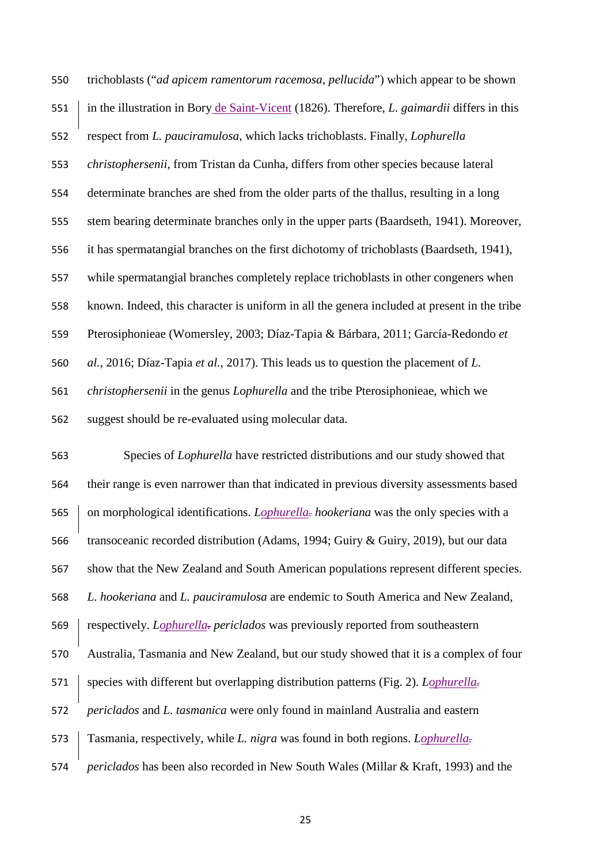trichoblasts ("*ad apicem ramentorum racemosa, pellucida*") which appear to be shown in the illustration in Bory de Saint-Vicent (1826). Therefore, *L. gaimardii* differs in this respect from *L. pauciramulosa*, which lacks trichoblasts. Finally, *Lophurella christophersenii*, from Tristan da Cunha, differs from other species because lateral determinate branches are shed from the older parts of the thallus, resulting in a long stem bearing determinate branches only in the upper parts (Baardseth, 1941). Moreover, it has spermatangial branches on the first dichotomy of trichoblasts (Baardseth, 1941), while spermatangial branches completely replace trichoblasts in other congeners when known. Indeed, this character is uniform in all the genera included at present in the tribe Pterosiphonieae (Womersley, 2003; Díaz-Tapia & Bárbara, 2011; García-Redondo *et al.*, 2016; Díaz-Tapia *et al.*, 2017). This leads us to question the placement of *L. christophersenii* in the genus *Lophurella* and the tribe Pterosiphonieae, which we suggest should be re-evaluated using molecular data.

 Species of *Lophurella* have restricted distributions and our study showed that their range is even narrower than that indicated in previous diversity assessments based 565 on morphological identifications. *Lophurella-hookeriana* was the only species with a transoceanic recorded distribution (Adams, 1994; Guiry & Guiry, 2019), but our data show that the New Zealand and South American populations represent different species. *L. hookeriana* and *L. pauciramulosa* are endemic to South America and New Zealand, respectively. *Lophurella. periclados* was previously reported from southeastern Australia, Tasmania and New Zealand, but our study showed that it is a complex of four species with different but overlapping distribution patterns (Fig. 2). *Lophurella. periclados* and *L. tasmanica* were only found in mainland Australia and eastern Tasmania, respectively, while *L. nigra* was found in both regions. *Lophurella. periclados* has been also recorded in New South Wales (Millar & Kraft, 1993) and the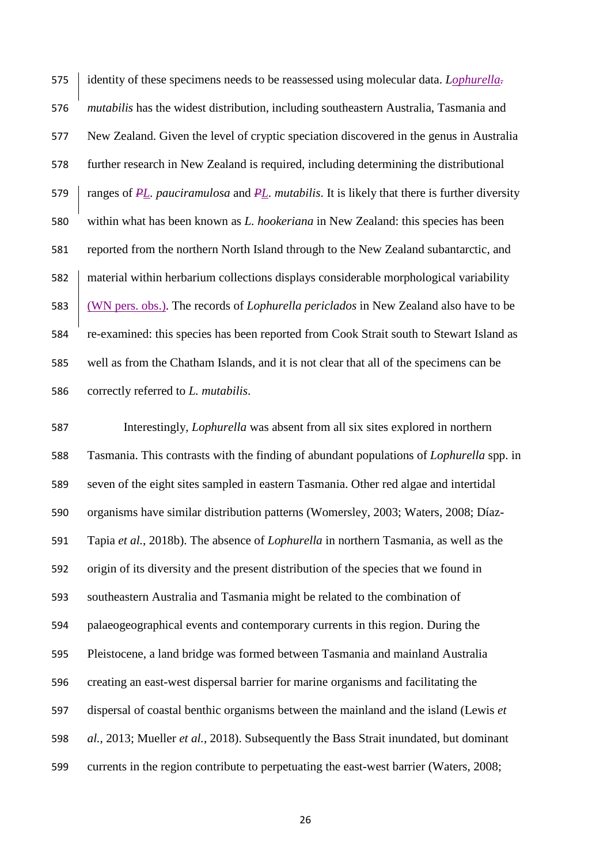identity of these specimens needs to be reassessed using molecular data. *Lophurella. mutabilis* has the widest distribution, including southeastern Australia, Tasmania and New Zealand. Given the level of cryptic speciation discovered in the genus in Australia further research in New Zealand is required, including determining the distributional ranges of *PL. pauciramulosa* and *PL. mutabilis*. It is likely that there is further diversity within what has been known as *L. hookeriana* in New Zealand: this species has been reported from the northern North Island through to the New Zealand subantarctic, and material within herbarium collections displays considerable morphological variability (WN pers. obs.). The records of *Lophurella periclados* in New Zealand also have to be re-examined: this species has been reported from Cook Strait south to Stewart Island as well as from the Chatham Islands, and it is not clear that all of the specimens can be correctly referred to *L. mutabilis*.

 Interestingly, *Lophurella* was absent from all six sites explored in northern Tasmania. This contrasts with the finding of abundant populations of *Lophurella* spp. in seven of the eight sites sampled in eastern Tasmania. Other red algae and intertidal organisms have similar distribution patterns (Womersley, 2003; Waters, 2008; Díaz- Tapia *et al.*, 2018b). The absence of *Lophurella* in northern Tasmania, as well as the origin of its diversity and the present distribution of the species that we found in southeastern Australia and Tasmania might be related to the combination of palaeogeographical events and contemporary currents in this region. During the Pleistocene, a land bridge was formed between Tasmania and mainland Australia creating an east-west dispersal barrier for marine organisms and facilitating the dispersal of coastal benthic organisms between the mainland and the island (Lewis *et al.*, 2013; Mueller *et al.*, 2018). Subsequently the Bass Strait inundated, but dominant currents in the region contribute to perpetuating the east-west barrier (Waters, 2008;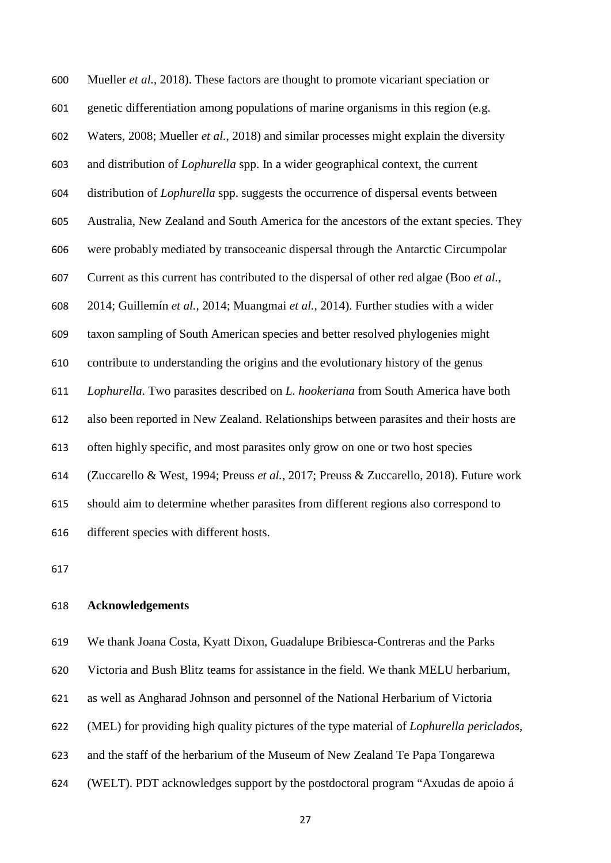Mueller *et al.*, 2018). These factors are thought to promote vicariant speciation or genetic differentiation among populations of marine organisms in this region (e.g. Waters, 2008; Mueller *et al.*, 2018) and similar processes might explain the diversity and distribution of *Lophurella* spp. In a wider geographical context, the current distribution of *Lophurella* spp. suggests the occurrence of dispersal events between Australia, New Zealand and South America for the ancestors of the extant species. They were probably mediated by transoceanic dispersal through the Antarctic Circumpolar Current as this current has contributed to the dispersal of other red algae (Boo *et al.*, 2014; Guillemín *et al.*, 2014; Muangmai *et al.*, 2014). Further studies with a wider taxon sampling of South American species and better resolved phylogenies might contribute to understanding the origins and the evolutionary history of the genus *Lophurella*. Two parasites described on *L. hookeriana* from South America have both also been reported in New Zealand. Relationships between parasites and their hosts are often highly specific, and most parasites only grow on one or two host species (Zuccarello & West, 1994; Preuss *et al.*, 2017; Preuss & Zuccarello, 2018). Future work should aim to determine whether parasites from different regions also correspond to different species with different hosts.

# **Acknowledgements**

#### We thank Joana Costa, Kyatt Dixon, Guadalupe Bribiesca-Contreras and the Parks

Victoria and Bush Blitz teams for assistance in the field. We thank MELU herbarium,

as well as Angharad Johnson and personnel of the National Herbarium of Victoria

(MEL) for providing high quality pictures of the type material of *Lophurella periclados*,

- and the staff of the herbarium of the Museum of New Zealand Te Papa Tongarewa
- (WELT). PDT acknowledges support by the postdoctoral program "Axudas de apoio á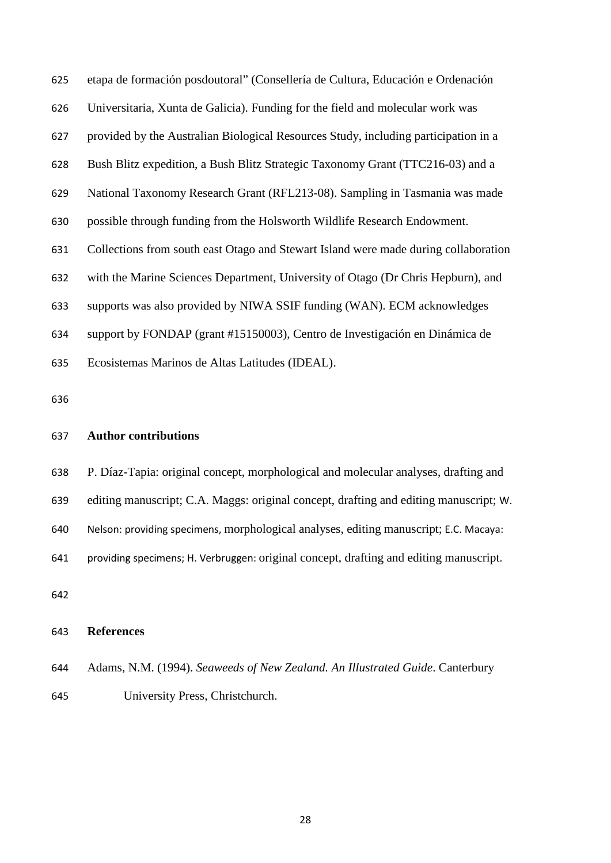etapa de formación posdoutoral" (Consellería de Cultura, Educación e Ordenación Universitaria, Xunta de Galicia). Funding for the field and molecular work was provided by the Australian Biological Resources Study, including participation in a Bush Blitz expedition, a Bush Blitz Strategic Taxonomy Grant (TTC216-03) and a National Taxonomy Research Grant (RFL213-08). Sampling in Tasmania was made possible through funding from the Holsworth Wildlife Research Endowment. Collections from south east Otago and Stewart Island were made during collaboration with the Marine Sciences Department, University of Otago (Dr Chris Hepburn), and supports was also provided by NIWA SSIF funding (WAN). ECM acknowledges support by FONDAP (grant #15150003), Centro de Investigación en Dinámica de Ecosistemas Marinos de Altas Latitudes (IDEAL).

#### **Author contributions**

P. Díaz-Tapia: original concept, morphological and molecular analyses, drafting and

editing manuscript; C.A. Maggs: original concept, drafting and editing manuscript; W.

Nelson: providing specimens, morphological analyses, editing manuscript; E.C. Macaya:

providing specimens; H. Verbruggen: original concept, drafting and editing manuscript.

#### **References**

- Adams, N.M. (1994). *Seaweeds of New Zealand. An Illustrated Guide*. Canterbury
- University Press, Christchurch.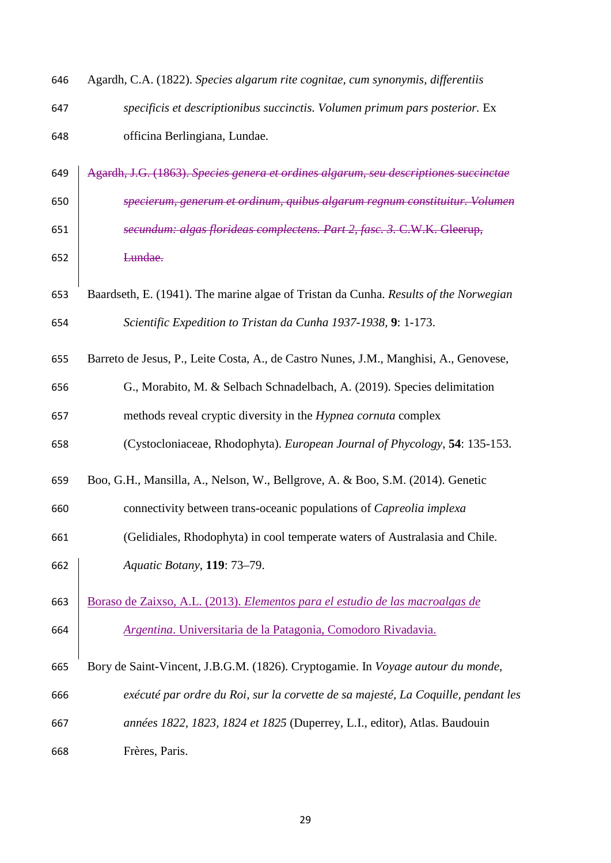| 646 | Agardh, C.A. (1822). Species algarum rite cognitae, cum synonymis, differentiis       |
|-----|---------------------------------------------------------------------------------------|
| 647 | specificis et descriptionibus succinctis. Volumen primum pars posterior. Ex           |
| 648 | officina Berlingiana, Lundae.                                                         |
| 649 | Agardh, J.G. (1863). Species genera et ordines algarum, seu descriptiones succinctae  |
| 650 | specierum, generum et ordinum, quibus algarum regnum constituitur. Volumen            |
| 651 | secundum: algas florideas complectens. Part 2, fasc. 3. C.W.K. Gleerup,               |
| 652 | Lundae.                                                                               |
| 653 | Baardseth, E. (1941). The marine algae of Tristan da Cunha. Results of the Norwegian  |
| 654 | Scientific Expedition to Tristan da Cunha 1937-1938, 9: 1-173.                        |
| 655 | Barreto de Jesus, P., Leite Costa, A., de Castro Nunes, J.M., Manghisi, A., Genovese, |
| 656 | G., Morabito, M. & Selbach Schnadelbach, A. (2019). Species delimitation              |
| 657 | methods reveal cryptic diversity in the Hypnea cornuta complex                        |
| 658 | (Cystocloniaceae, Rhodophyta). European Journal of Phycology, 54: 135-153.            |
| 659 | Boo, G.H., Mansilla, A., Nelson, W., Bellgrove, A. & Boo, S.M. (2014). Genetic        |
| 660 | connectivity between trans-oceanic populations of Capreolia implexa                   |
| 661 | (Gelidiales, Rhodophyta) in cool temperate waters of Australasia and Chile.           |
| 662 | Aquatic Botany, 119: 73-79.                                                           |
| 663 | Boraso de Zaixso, A.L. (2013). Elementos para el estudio de las macroalgas de         |
| 664 | Argentina. Universitaria de la Patagonia, Comodoro Rivadavia.                         |
| 665 | Bory de Saint-Vincent, J.B.G.M. (1826). Cryptogamie. In Voyage autour du monde,       |
| 666 | exécuté par ordre du Roi, sur la corvette de sa majesté, La Coquille, pendant les     |
| 667 | années 1822, 1823, 1824 et 1825 (Duperrey, L.I., editor), Atlas. Baudouin             |
| 668 | Frères, Paris.                                                                        |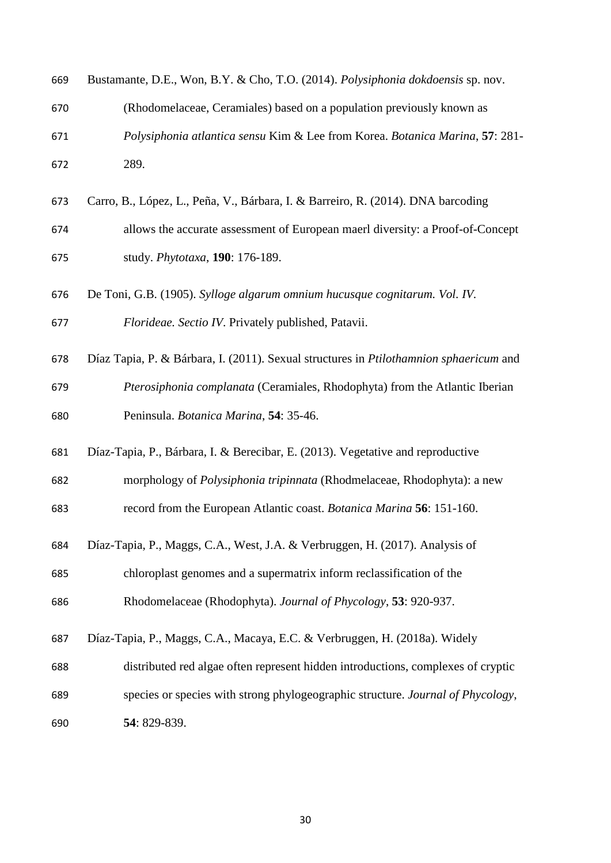| 669 | Bustamante, D.E., Won, B.Y. & Cho, T.O. (2014). Polysiphonia dokdoensis sp. nov.              |
|-----|-----------------------------------------------------------------------------------------------|
| 670 | (Rhodomelaceae, Ceramiales) based on a population previously known as                         |
| 671 | Polysiphonia atlantica sensu Kim & Lee from Korea. Botanica Marina, 57: 281-                  |
| 672 | 289.                                                                                          |
| 673 | Carro, B., López, L., Peña, V., Bárbara, I. & Barreiro, R. (2014). DNA barcoding              |
| 674 | allows the accurate assessment of European maerl diversity: a Proof-of-Concept                |
| 675 | study. Phytotaxa, 190: 176-189.                                                               |
| 676 | De Toni, G.B. (1905). Sylloge algarum omnium hucusque cognitarum. Vol. IV.                    |
| 677 | Florideae. Sectio IV. Privately published, Patavii.                                           |
| 678 | Díaz Tapia, P. & Bárbara, I. (2011). Sexual structures in <i>Ptilothamnion sphaericum</i> and |
| 679 | Pterosiphonia complanata (Ceramiales, Rhodophyta) from the Atlantic Iberian                   |
| 680 | Peninsula. Botanica Marina, 54: 35-46.                                                        |
| 681 | Díaz-Tapia, P., Bárbara, I. & Berecibar, E. (2013). Vegetative and reproductive               |
| 682 | morphology of Polysiphonia tripinnata (Rhodmelaceae, Rhodophyta): a new                       |
| 683 | record from the European Atlantic coast. Botanica Marina 56: 151-160.                         |
| 684 | Díaz-Tapia, P., Maggs, C.A., West, J.A. & Verbruggen, H. (2017). Analysis of                  |
| 685 | chloroplast genomes and a supermatrix inform reclassification of the                          |
| 686 | Rhodomelaceae (Rhodophyta). Journal of Phycology, 53: 920-937.                                |
| 687 | Díaz-Tapia, P., Maggs, C.A., Macaya, E.C. & Verbruggen, H. (2018a). Widely                    |
| 688 | distributed red algae often represent hidden introductions, complexes of cryptic              |
| 689 | species or species with strong phylogeographic structure. Journal of Phycology,               |
| 690 | 54: 829-839.                                                                                  |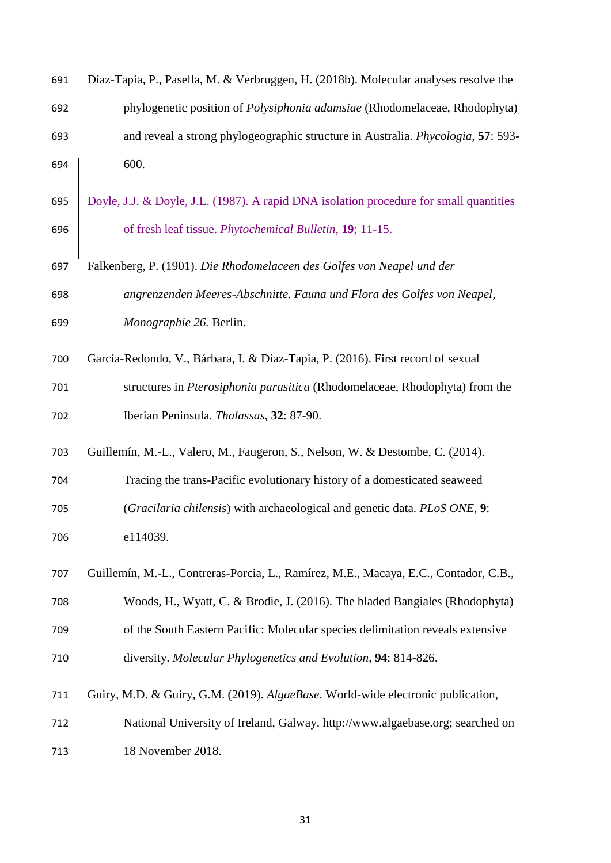| 691 | Díaz-Tapia, P., Pasella, M. & Verbruggen, H. (2018b). Molecular analyses resolve the   |
|-----|----------------------------------------------------------------------------------------|
| 692 | phylogenetic position of Polysiphonia adamsiae (Rhodomelaceae, Rhodophyta)             |
| 693 | and reveal a strong phylogeographic structure in Australia. Phycologia, 57: 593-       |
| 694 | 600.                                                                                   |
| 695 | Doyle, J.J. & Doyle, J.L. (1987). A rapid DNA isolation procedure for small quantities |
| 696 | of fresh leaf tissue. <i>Phytochemical Bulletin</i> , 19; 11-15.                       |
| 697 | Falkenberg, P. (1901). Die Rhodomelaceen des Golfes von Neapel und der                 |
| 698 | angrenzenden Meeres-Abschnitte. Fauna und Flora des Golfes von Neapel,                 |
| 699 | Monographie 26. Berlin.                                                                |
| 700 | García-Redondo, V., Bárbara, I. & Díaz-Tapia, P. (2016). First record of sexual        |
| 701 | structures in Pterosiphonia parasitica (Rhodomelaceae, Rhodophyta) from the            |
| 702 | Iberian Peninsula. Thalassas, 32: 87-90.                                               |
| 703 | Guillemín, M.-L., Valero, M., Faugeron, S., Nelson, W. & Destombe, C. (2014).          |
| 704 | Tracing the trans-Pacific evolutionary history of a domesticated seaweed               |
| 705 | (Gracilaria chilensis) with archaeological and genetic data. PLoS ONE, 9:              |
| 706 | e114039.                                                                               |
| 707 | Guillemín, M.-L., Contreras-Porcia, L., Ramírez, M.E., Macaya, E.C., Contador, C.B.,   |
| 708 | Woods, H., Wyatt, C. & Brodie, J. (2016). The bladed Bangiales (Rhodophyta)            |
| 709 | of the South Eastern Pacific: Molecular species delimitation reveals extensive         |
| 710 | diversity. Molecular Phylogenetics and Evolution, 94: 814-826.                         |
| 711 | Guiry, M.D. & Guiry, G.M. (2019). AlgaeBase. World-wide electronic publication,        |
| 712 | National University of Ireland, Galway. http://www.algaebase.org; searched on          |
| 713 | 18 November 2018.                                                                      |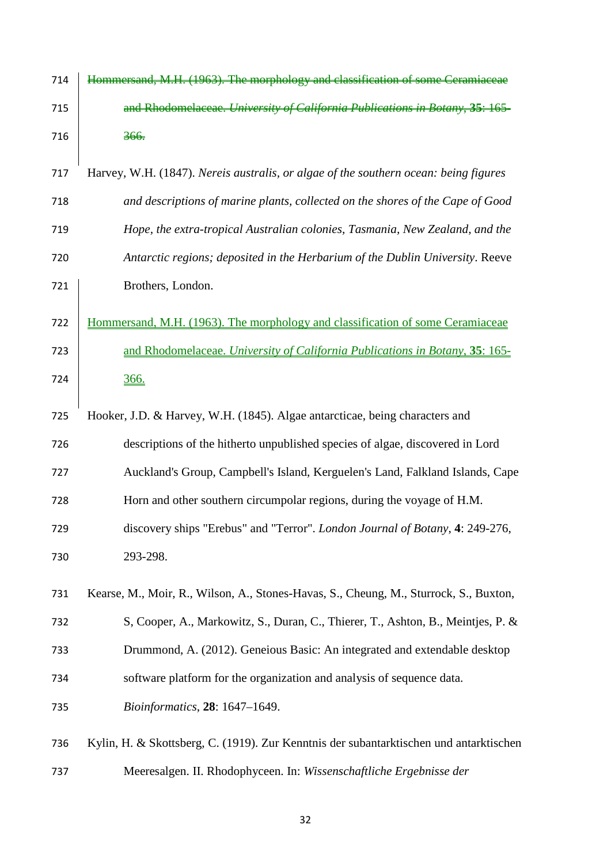| 714 | Hommersand, M.H. (1963). The morphology and classification of some Ceramiaceae         |
|-----|----------------------------------------------------------------------------------------|
| 715 | and Rhodomelaceae. University of California Publications in Botany, 35: 165-           |
| 716 | 366.                                                                                   |
| 717 | Harvey, W.H. (1847). Nereis australis, or algae of the southern ocean: being figures   |
| 718 | and descriptions of marine plants, collected on the shores of the Cape of Good         |
| 719 | Hope, the extra-tropical Australian colonies, Tasmania, New Zealand, and the           |
| 720 | Antarctic regions; deposited in the Herbarium of the Dublin University. Reeve          |
| 721 | Brothers, London.                                                                      |
| 722 | Hommersand, M.H. (1963). The morphology and classification of some Ceramiaceae         |
| 723 | and Rhodomelaceae. University of California Publications in Botany, 35: 165-           |
| 724 | 366.                                                                                   |
| 725 | Hooker, J.D. & Harvey, W.H. (1845). Algae antarcticae, being characters and            |
| 726 | descriptions of the hitherto unpublished species of algae, discovered in Lord          |
| 727 | Auckland's Group, Campbell's Island, Kerguelen's Land, Falkland Islands, Cape          |
| 728 | Horn and other southern circumpolar regions, during the voyage of H.M.                 |
| 729 | discovery ships "Erebus" and "Terror". London Journal of Botany, 4: 249-276,           |
| 730 | 293-298.                                                                               |
| 731 | Kearse, M., Moir, R., Wilson, A., Stones-Havas, S., Cheung, M., Sturrock, S., Buxton,  |
| 732 | S, Cooper, A., Markowitz, S., Duran, C., Thierer, T., Ashton, B., Meintjes, P. &       |
| 733 | Drummond, A. (2012). Geneious Basic: An integrated and extendable desktop              |
| 734 | software platform for the organization and analysis of sequence data.                  |
| 735 | <i>Bioinformatics</i> , 28: 1647-1649.                                                 |
| 736 | Kylin, H. & Skottsberg, C. (1919). Zur Kenntnis der subantarktischen und antarktischen |
| 737 | Meeresalgen. II. Rhodophyceen. In: Wissenschaftliche Ergebnisse der                    |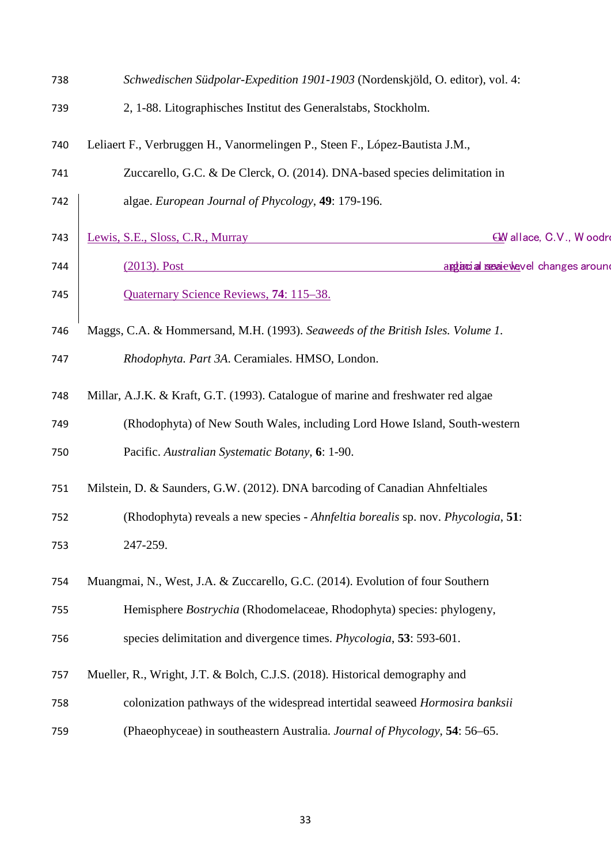| 738 | Schwedischen Südpolar-Expedition 1901-1903 (Nordenskjöld, O. editor), vol. 4:       |
|-----|-------------------------------------------------------------------------------------|
| 739 | 2, 1-88. Litographisches Institut des Generalstabs, Stockholm.                      |
| 740 | Leliaert F., Verbruggen H., Vanormelingen P., Steen F., López-Bautista J.M.,        |
| 741 | Zuccarello, G.C. & De Clerck, O. (2014). DNA-based species delimitation in          |
| 742 | algae. European Journal of Phycology, 49: 179-196.                                  |
| 743 | Lewis, S.E., Sloss, C.R., Murray<br>GM allace, C.V., Woodro                         |
| 744 | $(2013)$ . Post<br>aggiacial resaie wevel changes around                            |
| 745 | Quaternary Science Reviews, 74: 115-38.                                             |
| 746 | Maggs, C.A. & Hommersand, M.H. (1993). Seaweeds of the British Isles. Volume 1.     |
| 747 | Rhodophyta. Part 3A. Ceramiales. HMSO, London.                                      |
| 748 | Millar, A.J.K. & Kraft, G.T. (1993). Catalogue of marine and freshwater red algae   |
| 749 | (Rhodophyta) of New South Wales, including Lord Howe Island, South-western          |
| 750 | Pacific. Australian Systematic Botany, 6: 1-90.                                     |
| 751 | Milstein, D. & Saunders, G.W. (2012). DNA barcoding of Canadian Ahnfeltiales        |
| 752 | (Rhodophyta) reveals a new species - Ahnfeltia borealis sp. nov. Phycologia, 51:    |
| 753 | 247-259.                                                                            |
| 754 | Muangmai, N., West, J.A. & Zuccarello, G.C. (2014). Evolution of four Southern      |
| 755 | Hemisphere Bostrychia (Rhodomelaceae, Rhodophyta) species: phylogeny,               |
| 756 | species delimitation and divergence times. <i>Phycologia</i> , <b>53</b> : 593-601. |
| 757 | Mueller, R., Wright, J.T. & Bolch, C.J.S. (2018). Historical demography and         |
| 758 | colonization pathways of the widespread intertidal seaweed Hormosira banksii        |
| 759 | (Phaeophyceae) in southeastern Australia. Journal of Phycology, 54: 56-65.          |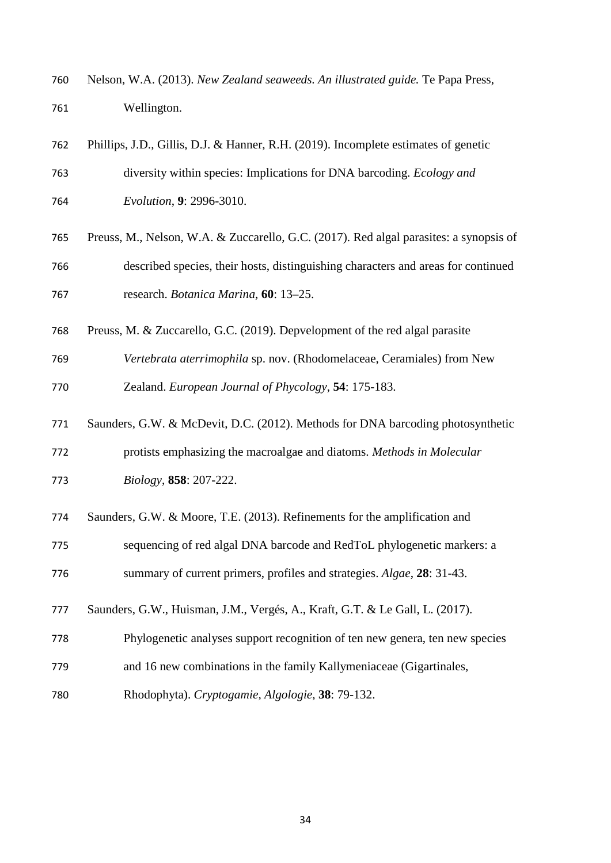Nelson, W.A. (2013). *New Zealand seaweeds. An illustrated guide.* Te Papa Press, Wellington.

| 762 | Phillips, J.D., Gillis, D.J. & Hanner, R.H. (2019). Incomplete estimates of genetic    |
|-----|----------------------------------------------------------------------------------------|
| 763 | diversity within species: Implications for DNA barcoding. Ecology and                  |
| 764 | Evolution, 9: 2996-3010.                                                               |
| 765 | Preuss, M., Nelson, W.A. & Zuccarello, G.C. (2017). Red algal parasites: a synopsis of |
| 766 | described species, their hosts, distinguishing characters and areas for continued      |
| 767 | research. Botanica Marina, 60: 13-25.                                                  |
| 768 | Preuss, M. & Zuccarello, G.C. (2019). Depvelopment of the red algal parasite           |
| 769 | Vertebrata aterrimophila sp. nov. (Rhodomelaceae, Ceramiales) from New                 |
| 770 | Zealand. European Journal of Phycology, 54: 175-183.                                   |
| 771 | Saunders, G.W. & McDevit, D.C. (2012). Methods for DNA barcoding photosynthetic        |
| 772 | protists emphasizing the macroalgae and diatoms. Methods in Molecular                  |
| 773 | Biology, 858: 207-222.                                                                 |
| 774 | Saunders, G.W. & Moore, T.E. (2013). Refinements for the amplification and             |
| 775 | sequencing of red algal DNA barcode and RedToL phylogenetic markers: a                 |
| 776 | summary of current primers, profiles and strategies. Algae, 28: 31-43.                 |
| 777 | Saunders, G.W., Huisman, J.M., Vergés, A., Kraft, G.T. & Le Gall, L. (2017).           |
| 778 | Phylogenetic analyses support recognition of ten new genera, ten new species           |
| 779 | and 16 new combinations in the family Kallymeniaceae (Gigartinales,                    |
| 780 | Rhodophyta). Cryptogamie, Algologie, 38: 79-132.                                       |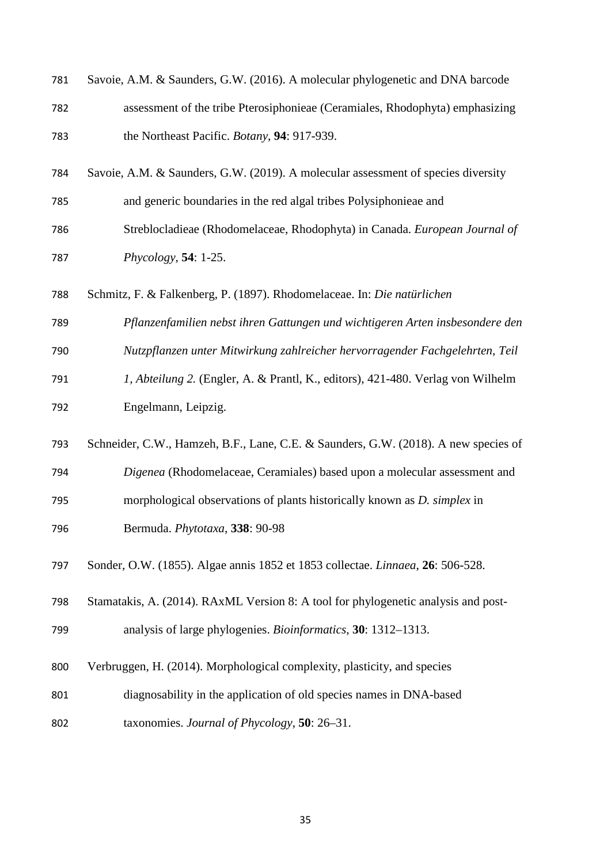| 781 | Savoie, A.M. & Saunders, G.W. (2016). A molecular phylogenetic and DNA barcode      |
|-----|-------------------------------------------------------------------------------------|
| 782 | assessment of the tribe Pterosiphonieae (Ceramiales, Rhodophyta) emphasizing        |
| 783 | the Northeast Pacific. Botany, 94: 917-939.                                         |
| 784 | Savoie, A.M. & Saunders, G.W. (2019). A molecular assessment of species diversity   |
| 785 | and generic boundaries in the red algal tribes Polysiphonieae and                   |
| 786 | Streblocladieae (Rhodomelaceae, Rhodophyta) in Canada. European Journal of          |
| 787 | $Phycology, 54: 1-25.$                                                              |
| 788 | Schmitz, F. & Falkenberg, P. (1897). Rhodomelaceae. In: Die natürlichen             |
| 789 | Pflanzenfamilien nebst ihren Gattungen und wichtigeren Arten insbesondere den       |
| 790 | Nutzpflanzen unter Mitwirkung zahlreicher hervorragender Fachgelehrten, Teil        |
| 791 | 1, Abteilung 2. (Engler, A. & Prantl, K., editors), 421-480. Verlag von Wilhelm     |
| 792 | Engelmann, Leipzig.                                                                 |
| 793 | Schneider, C.W., Hamzeh, B.F., Lane, C.E. & Saunders, G.W. (2018). A new species of |
| 794 | Digenea (Rhodomelaceae, Ceramiales) based upon a molecular assessment and           |
| 795 | morphological observations of plants historically known as D. simplex in            |
| 796 | Bermuda. Phytotaxa, 338: 90-98                                                      |
| 797 | Sonder, O.W. (1855). Algae annis 1852 et 1853 collectae. Linnaea, 26: 506-528.      |
| 798 | Stamatakis, A. (2014). RAxML Version 8: A tool for phylogenetic analysis and post-  |
| 799 | analysis of large phylogenies. Bioinformatics, 30: 1312-1313.                       |
| 800 | Verbruggen, H. (2014). Morphological complexity, plasticity, and species            |
| 801 | diagnosability in the application of old species names in DNA-based                 |
| 802 | taxonomies. Journal of Phycology, 50: 26–31.                                        |
|     |                                                                                     |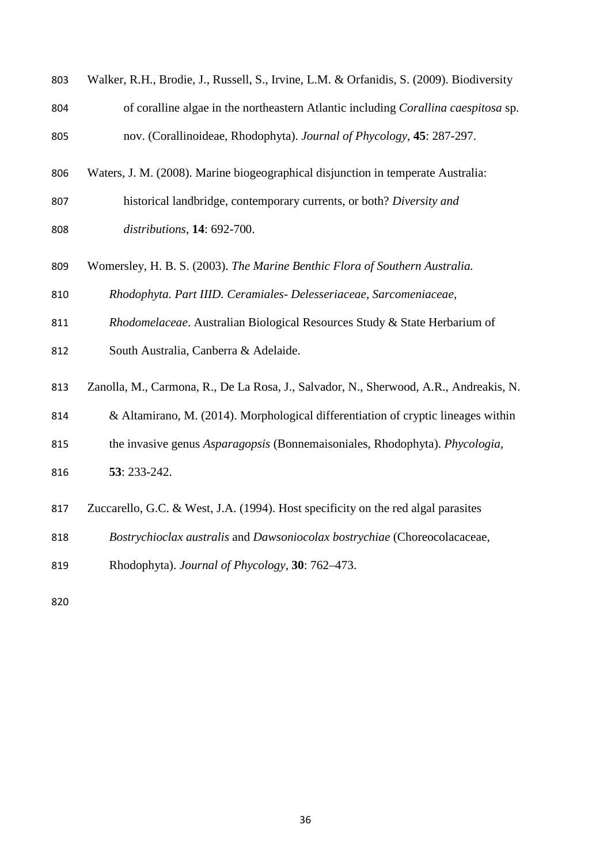| 803 | Walker, R.H., Brodie, J., Russell, S., Irvine, L.M. & Orfanidis, S. (2009). Biodiversity  |
|-----|-------------------------------------------------------------------------------------------|
| 804 | of coralline algae in the northeastern Atlantic including <i>Corallina caespitosa</i> sp. |
| 805 | nov. (Corallinoideae, Rhodophyta). Journal of Phycology, 45: 287-297.                     |

- Waters, J. M. (2008). Marine biogeographical disjunction in temperate Australia:
- historical landbridge, contemporary currents, or both? *Diversity and distributions*, **14**: 692-700.
- Womersley, H. B. S. (2003). *The Marine Benthic Flora of Southern Australia.*
- *Rhodophyta. Part IIID. Ceramiales- Delesseriaceae, Sarcomeniaceae,*
- *Rhodomelaceae*. Australian Biological Resources Study & State Herbarium of
- South Australia, Canberra & Adelaide.
- Zanolla, M., Carmona, R., De La Rosa, J., Salvador, N., Sherwood, A.R., Andreakis, N.
- & Altamirano, M. (2014). Morphological differentiation of cryptic lineages within
- the invasive genus *Asparagopsis* (Bonnemaisoniales, Rhodophyta). *Phycologia*,
- **53**: 233-242.
- Zuccarello, G.C. & West, J.A. (1994). Host specificity on the red algal parasites
- *Bostrychioclax australis* and *Dawsoniocolax bostrychiae* (Choreocolacaceae,
- Rhodophyta). *Journal of Phycology*, **30**: 762–473.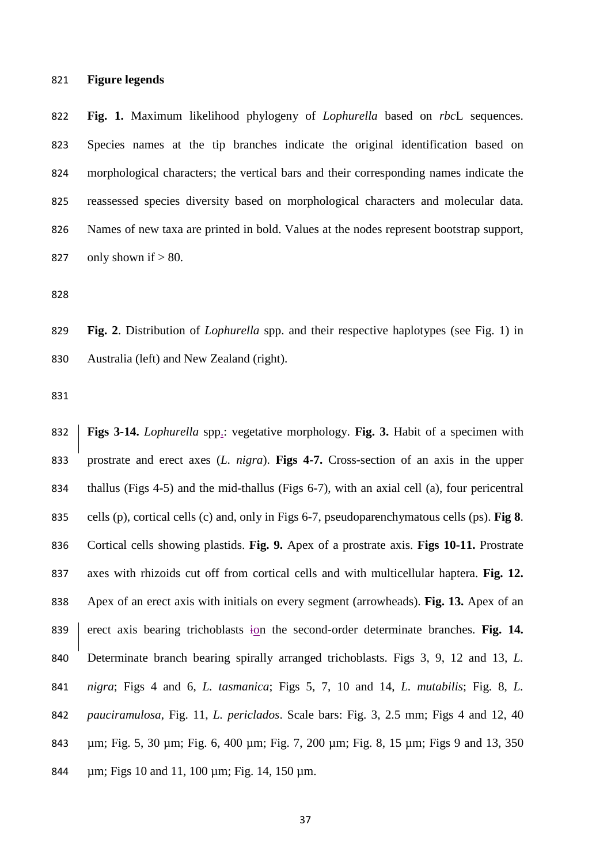# **Figure legends**

 **Fig. 1.** Maximum likelihood phylogeny of *Lophurella* based on *rbc*L sequences. Species names at the tip branches indicate the original identification based on morphological characters; the vertical bars and their corresponding names indicate the reassessed species diversity based on morphological characters and molecular data. Names of new taxa are printed in bold. Values at the nodes represent bootstrap support, 827 only shown if  $> 80$ .

 **Fig. 2**. Distribution of *Lophurella* spp. and their respective haplotypes (see Fig. 1) in 830 Australia (left) and New Zealand (right).

 **Figs 3-14.** *Lophurella* spp.: vegetative morphology. **Fig. 3.** Habit of a specimen with prostrate and erect axes (*L. nigra*). **Figs 4-7.** Cross-section of an axis in the upper thallus (Figs 4-5) and the mid-thallus (Figs 6-7), with an axial cell (a), four pericentral cells (p), cortical cells (c) and, only in Figs 6-7, pseudoparenchymatous cells (ps). **Fig 8**. Cortical cells showing plastids. **Fig. 9.** Apex of a prostrate axis. **Figs 10-11.** Prostrate axes with rhizoids cut off from cortical cells and with multicellular haptera. **Fig. 12.** Apex of an erect axis with initials on every segment (arrowheads). **Fig. 13.** Apex of an 839 erect axis bearing trichoblasts ion the second-order determinate branches. Fig. 14. Determinate branch bearing spirally arranged trichoblasts. Figs 3, 9, 12 and 13, *L. nigra*; Figs 4 and 6, *L. tasmanica*; Figs 5, 7, 10 and 14, *L. mutabilis*; Fig. 8, *L. pauciramulosa*, Fig. 11, *L. periclados*. Scale bars: Fig. 3, 2.5 mm; Figs 4 and 12, 40 µm; Fig. 5, 30 µm; Fig. 6, 400 µm; Fig. 7, 200 µm; Fig. 8, 15 µm; Figs 9 and 13, 350 µm; Figs 10 and 11, 100 µm; Fig. 14, 150 µm.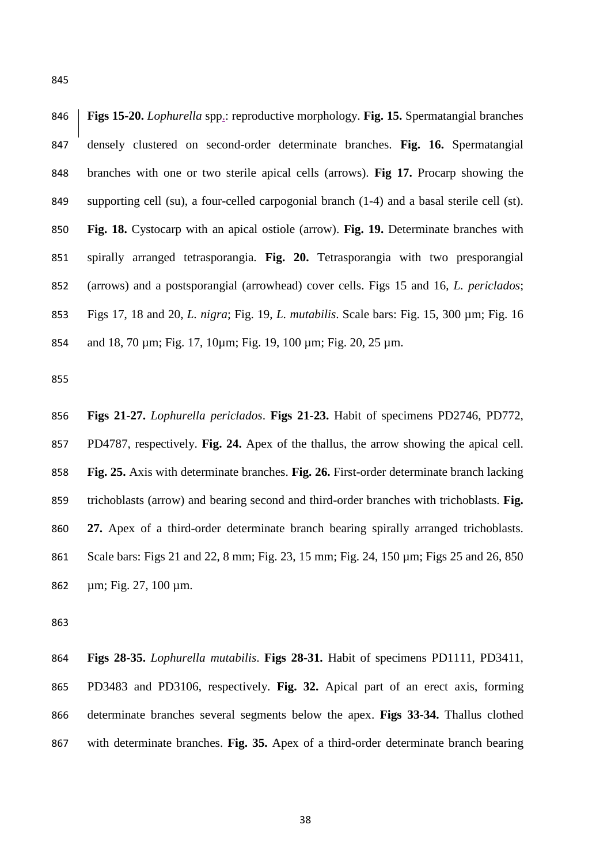**Figs 15-20.** *Lophurella* spp.: reproductive morphology. **Fig. 15.** Spermatangial branches densely clustered on second-order determinate branches. **Fig. 16.** Spermatangial branches with one or two sterile apical cells (arrows). **Fig 17.** Procarp showing the supporting cell (su), a four-celled carpogonial branch (1-4) and a basal sterile cell (st). **Fig. 18.** Cystocarp with an apical ostiole (arrow). **Fig. 19.** Determinate branches with spirally arranged tetrasporangia. **Fig. 20.** Tetrasporangia with two presporangial (arrows) and a postsporangial (arrowhead) cover cells. Figs 15 and 16, *L. periclados*; Figs 17, 18 and 20, *L. nigra*; Fig. 19, *L. mutabilis*. Scale bars: Fig. 15, 300 µm; Fig. 16 and 18, 70 µm; Fig. 17, 10µm; Fig. 19, 100 µm; Fig. 20, 25 µm.

 **Figs 21-27.** *Lophurella periclados*. **Figs 21-23.** Habit of specimens PD2746, PD772, PD4787, respectively. **Fig. 24.** Apex of the thallus, the arrow showing the apical cell. **Fig. 25.** Axis with determinate branches. **Fig. 26.** First-order determinate branch lacking trichoblasts (arrow) and bearing second and third-order branches with trichoblasts. **Fig. 27.** Apex of a third-order determinate branch bearing spirally arranged trichoblasts. Scale bars: Figs 21 and 22, 8 mm; Fig. 23, 15 mm; Fig. 24, 150 µm; Figs 25 and 26, 850 µm; Fig. 27, 100 µm.

 **Figs 28-35.** *Lophurella mutabilis*. **Figs 28-31.** Habit of specimens PD1111, PD3411, PD3483 and PD3106, respectively. **Fig. 32.** Apical part of an erect axis, forming determinate branches several segments below the apex. **Figs 33-34.** Thallus clothed with determinate branches. **Fig. 35.** Apex of a third-order determinate branch bearing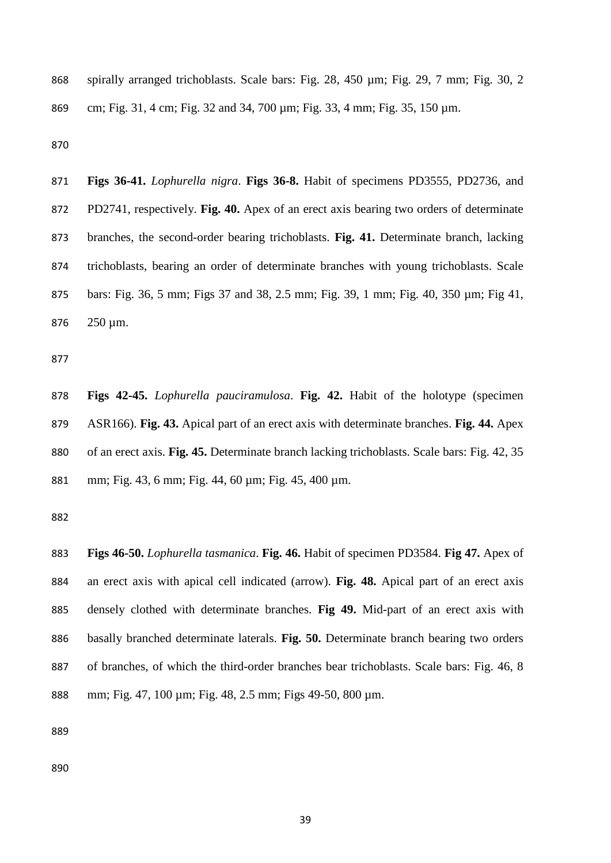spirally arranged trichoblasts. Scale bars: Fig. 28, 450 µm; Fig. 29, 7 mm; Fig. 30, 2 cm; Fig. 31, 4 cm; Fig. 32 and 34, 700 µm; Fig. 33, 4 mm; Fig. 35, 150 µm.

 **Figs 36-41.** *Lophurella nigra*. **Figs 36-8.** Habit of specimens PD3555, PD2736, and PD2741, respectively. **Fig. 40.** Apex of an erect axis bearing two orders of determinate branches, the second-order bearing trichoblasts. **Fig. 41.** Determinate branch, lacking trichoblasts, bearing an order of determinate branches with young trichoblasts. Scale bars: Fig. 36, 5 mm; Figs 37 and 38, 2.5 mm; Fig. 39, 1 mm; Fig. 40, 350 µm; Fig 41, 250 µm.

 **Figs 42-45.** *Lophurella pauciramulosa*. **Fig. 42.** Habit of the holotype (specimen ASR166). **Fig. 43.** Apical part of an erect axis with determinate branches. **Fig. 44.** Apex of an erect axis. **Fig. 45.** Determinate branch lacking trichoblasts. Scale bars: Fig. 42, 35 mm; Fig. 43, 6 mm; Fig. 44, 60 µm; Fig. 45, 400 µm.

 **Figs 46-50.** *Lophurella tasmanica*. **Fig. 46.** Habit of specimen PD3584. **Fig 47.** Apex of an erect axis with apical cell indicated (arrow). **Fig. 48.** Apical part of an erect axis densely clothed with determinate branches. **Fig 49.** Mid-part of an erect axis with basally branched determinate laterals. **Fig. 50.** Determinate branch bearing two orders of branches, of which the third-order branches bear trichoblasts. Scale bars: Fig. 46, 8 mm; Fig. 47, 100 µm; Fig. 48, 2.5 mm; Figs 49-50, 800 µm.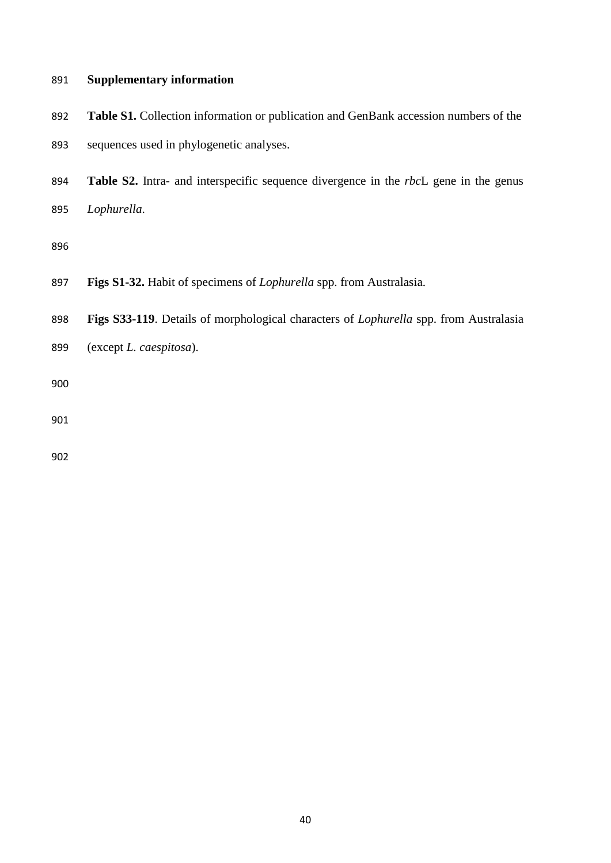# **Supplementary information**

- **Table S1.** Collection information or publication and GenBank accession numbers of the sequences used in phylogenetic analyses.
- **Table S2.** Intra- and interspecific sequence divergence in the *rbc*L gene in the genus *Lophurella*.
- 
- 
- **Figs S1-32.** Habit of specimens of *Lophurella* spp. from Australasia.
- **Figs S33-119**. Details of morphological characters of *Lophurella* spp. from Australasia
- (except *L. caespitosa*).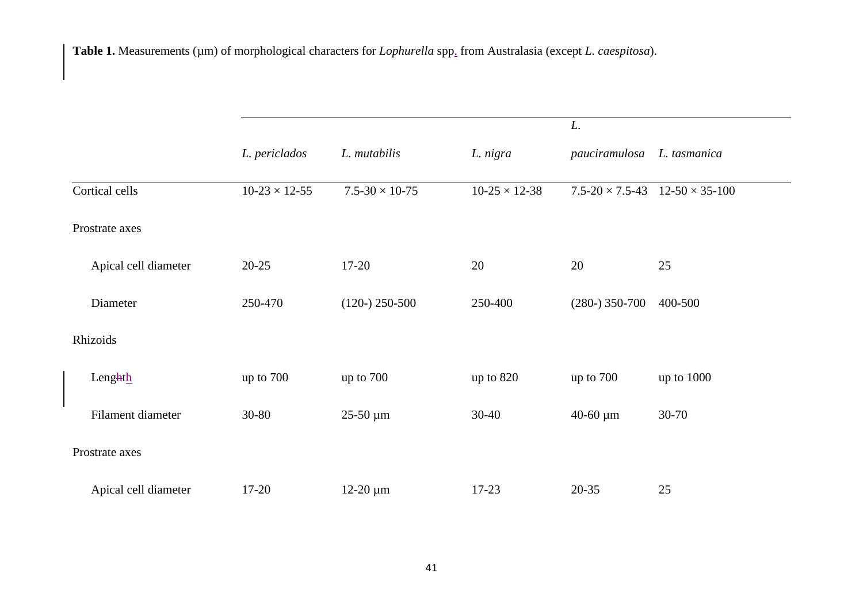**Table 1.** Measurements (µm) of morphological characters for *Lophurella* spp. from Australasia (except *L. caespitosa*).

|                      |                      |                            |                      | L.                         |                           |
|----------------------|----------------------|----------------------------|----------------------|----------------------------|---------------------------|
|                      | L. periclados        | L. mutabilis               | L. nigra             | pauciramulosa              | L. tasmanica              |
| Cortical cells       | $10-23 \times 12-55$ | $7.5 - 30 \times 10 - 75$  | $10-25 \times 12-38$ | $7.5 - 20 \times 7.5 - 43$ | $12 - 50 \times 35 - 100$ |
| Prostrate axes       |                      |                            |                      |                            |                           |
| Apical cell diameter | $20 - 25$            | $17 - 20$                  | 20                   | 20                         | 25                        |
| Diameter             | 250-470              | $(120-)$ 250-500           | 250-400              | $(280-) 350-700$           | 400-500                   |
| Rhizoids             |                      |                            |                      |                            |                           |
| Lenghth              | up to 700            | up to 700                  | up to 820            | up to $700$                | up to 1000                |
| Filament diameter    | 30-80                | $25-50 \,\mathrm{\upmu m}$ | $30-40$              | $40 - 60 \mu m$            | $30 - 70$                 |
| Prostrate axes       |                      |                            |                      |                            |                           |
| Apical cell diameter | 17-20                | $12-20 \mu m$              | $17 - 23$            | 20-35                      | 25                        |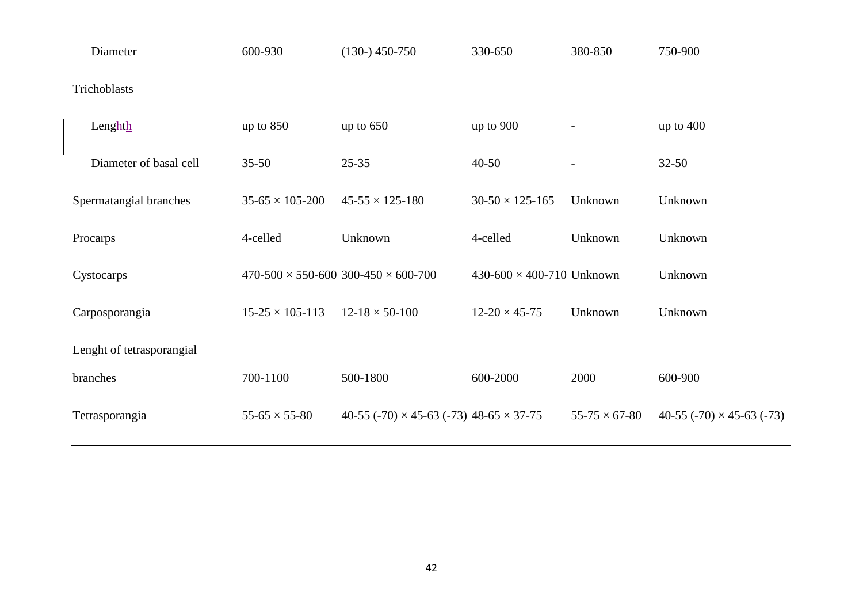| Diameter                  | 600-930                  | $(130-)$ 450-750                                      | 330-650                              | 380-850                  | 750-900                          |  |
|---------------------------|--------------------------|-------------------------------------------------------|--------------------------------------|--------------------------|----------------------------------|--|
| Trichoblasts              |                          |                                                       |                                      |                          |                                  |  |
| Lenghth                   | up to $850$              | up to $650$                                           | up to 900                            | $\overline{\phantom{a}}$ | up to $400$                      |  |
| Diameter of basal cell    | $35 - 50$                | $25 - 35$                                             | $40 - 50$                            |                          | $32 - 50$                        |  |
| Spermatangial branches    | $35-65 \times 105-200$   | $45 - 55 \times 125 - 180$                            | $30-50 \times 125-165$               | Unknown                  | Unknown                          |  |
| Procarps                  | 4-celled                 | Unknown                                               | 4-celled                             | Unknown                  | Unknown                          |  |
| Cystocarps                |                          | $470-500 \times 550-600$ 300-450 $\times$ 600-700     | $430 - 600 \times 400 - 710$ Unknown |                          | Unknown                          |  |
| Carposporangia            | $15-25 \times 105-113$   | $12 - 18 \times 50 - 100$                             | $12 - 20 \times 45 - 75$             | Unknown                  | Unknown                          |  |
| Lenght of tetrasporangial |                          |                                                       |                                      |                          |                                  |  |
| branches                  | 700-1100                 | 500-1800                                              | 600-2000                             | 2000                     | 600-900                          |  |
| Tetrasporangia            | $55 - 65 \times 55 - 80$ | 40-55 (-70) $\times$ 45-63 (-73) 48-65 $\times$ 37-75 |                                      | $55 - 75 \times 67 - 80$ | 40-55 (-70) $\times$ 45-63 (-73) |  |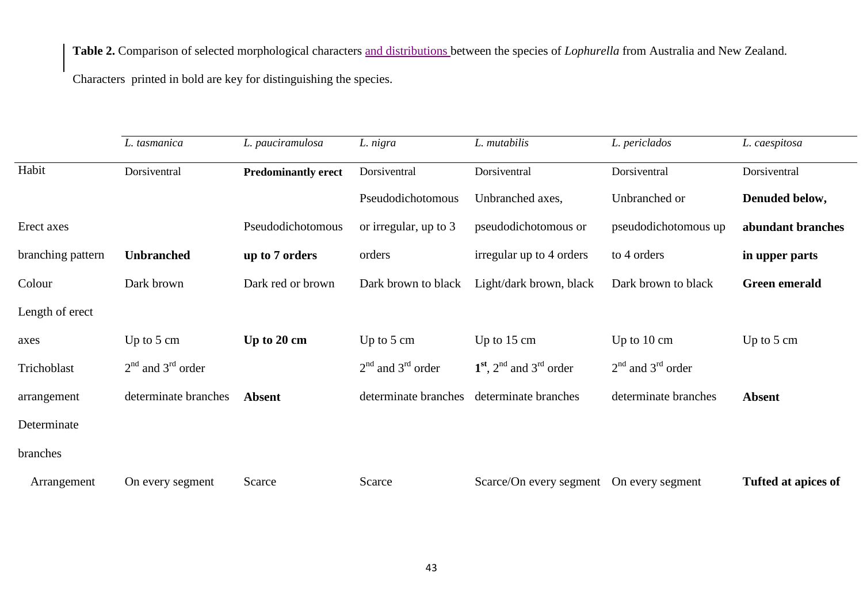**Table 2.** Comparison of selected morphological characters and distributions between the species of *Lophurella* from Australia and New Zealand.

Characters printed in bold are key for distinguishing the species.

|                   | L. tasmanica          | L. pauciramulosa           | L. nigra              | L. mutabilis                             | L. periclados         | L. caespitosa              |
|-------------------|-----------------------|----------------------------|-----------------------|------------------------------------------|-----------------------|----------------------------|
| Habit             | Dorsiventral          | <b>Predominantly erect</b> | Dorsiventral          | Dorsiventral                             | Dorsiventral          | Dorsiventral               |
|                   |                       |                            | Pseudodichotomous     | Unbranched axes,                         | Unbranched or         | Denuded below,             |
| Erect axes        |                       | Pseudodichotomous          | or irregular, up to 3 | pseudodichotomous or                     | pseudodichotomous up  | abundant branches          |
| branching pattern | <b>Unbranched</b>     | up to 7 orders             | orders                | irregular up to 4 orders                 | to 4 orders           | in upper parts             |
| Colour            | Dark brown            | Dark red or brown          | Dark brown to black   | Light/dark brown, black                  | Dark brown to black   | <b>Green</b> emerald       |
| Length of erect   |                       |                            |                       |                                          |                       |                            |
| axes              | Up to $5 \text{ cm}$  | Up to 20 cm                | Up to $5 \text{ cm}$  | Up to $15 \text{ cm}$                    | Up to $10 \text{ cm}$ | Up to $5 \text{ cm}$       |
| Trichoblast       | $2nd$ and $3rd$ order |                            | $2nd$ and $3rd$ order | $1st$ , $2nd$ and $3rd$ order            | $2nd$ and $3rd$ order |                            |
| arrangement       | determinate branches  | <b>Absent</b>              | determinate branches  | determinate branches                     | determinate branches  | <b>Absent</b>              |
| Determinate       |                       |                            |                       |                                          |                       |                            |
| branches          |                       |                            |                       |                                          |                       |                            |
| Arrangement       | On every segment      | Scarce                     | Scarce                | Scarce/On every segment On every segment |                       | <b>Tufted at apices of</b> |